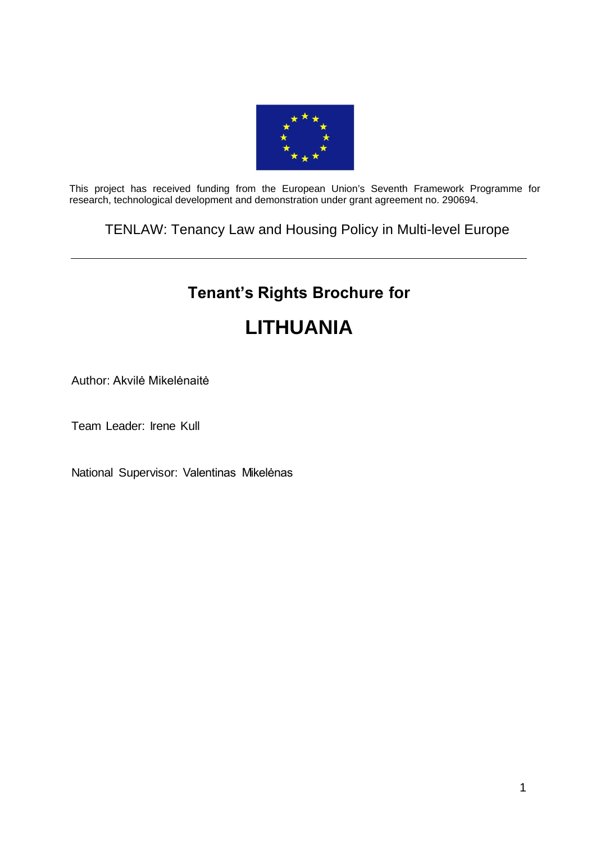

This project has received funding from the European Union's Seventh Framework Programme for research, technological development and demonstration under grant agreement no. 290694.

TENLAW: Tenancy Law and Housing Policy in Multi-level Europe

# **Tenant's Rights Brochure for LITHUANIA**

# Author: Akvilė Mikelėnaitė

Team Leader: Irene Kull

National Supervisor: Valentinas Mikelėnas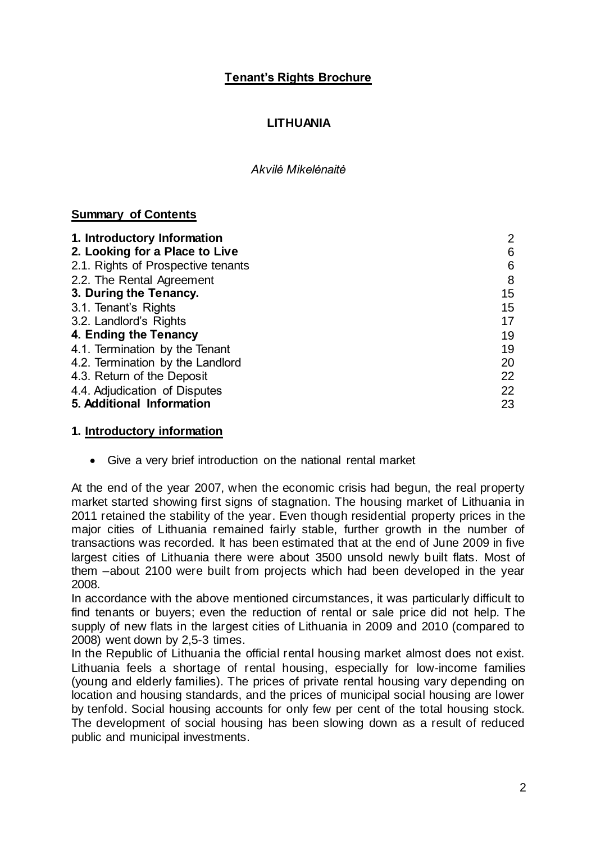# **Tenant's Rights Brochure**

# **LITHUANIA**

#### *Akvilė Mikelėnaitė*

# **Summary of Contents**

| 1. Introductory Information        | $\overline{2}$ |
|------------------------------------|----------------|
| 2. Looking for a Place to Live     | 6              |
| 2.1. Rights of Prospective tenants | 6              |
| 2.2. The Rental Agreement          | 8              |
| 3. During the Tenancy.             | 15             |
| 3.1. Tenant's Rights               | 15             |
| 3.2. Landlord's Rights             | 17             |
| 4. Ending the Tenancy              | 19             |
| 4.1. Termination by the Tenant     | 19             |
| 4.2. Termination by the Landlord   | 20             |
| 4.3. Return of the Deposit         | 22             |
| 4.4. Adjudication of Disputes      | 22             |
| 5. Additional Information          | 23             |

# **1. Introductory information**

Give a very brief introduction on the national rental market

At the end of the year 2007, when the economic crisis had begun, the real property market started showing first signs of stagnation. The housing market of Lithuania in 2011 retained the stability of the year. Even though residential property prices in the major cities of Lithuania remained fairly stable, further growth in the number of transactions was recorded. It has been estimated that at the end of June 2009 in five largest cities of Lithuania there were about 3500 unsold newly built flats. Most of them –about 2100 were built from projects which had been developed in the year 2008.

In accordance with the above mentioned circumstances, it was particularly difficult to find tenants or buyers; even the reduction of rental or sale price did not help. The supply of new flats in the largest cities of Lithuania in 2009 and 2010 (compared to 2008) went down by 2,5-3 times.

In the Republic of Lithuania the official rental housing market almost does not exist. Lithuania feels a shortage of rental housing, especially for low-income families (young and elderly families). The prices of private rental housing vary depending on location and housing standards, and the prices of municipal social housing are lower by tenfold. Social housing accounts for only few per cent of the total housing stock. The development of social housing has been slowing down as a result of reduced public and municipal investments.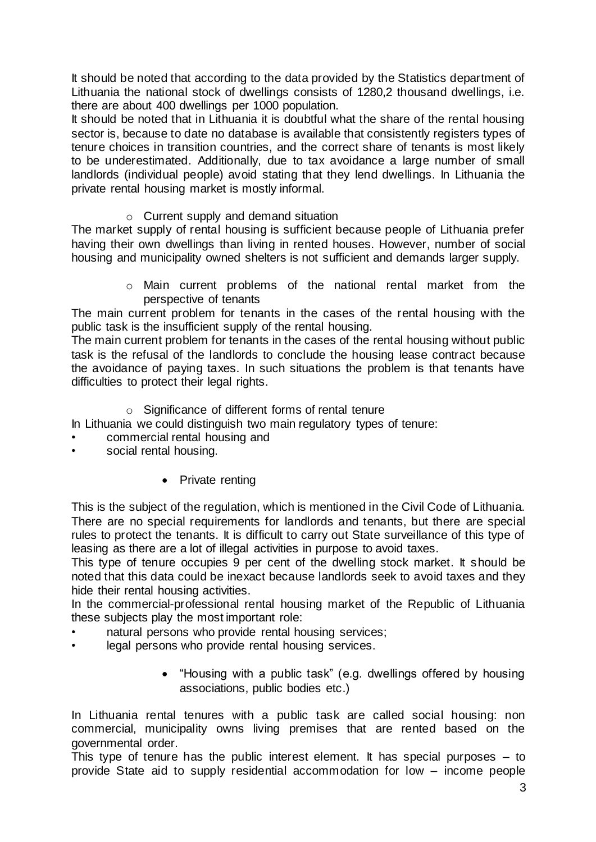It should be noted that according to the data provided by the Statistics department of Lithuania the national stock of dwellings consists of 1280,2 thousand dwellings, i.e. there are about 400 dwellings per 1000 population.

It should be noted that in Lithuania it is doubtful what the share of the rental housing sector is, because to date no database is available that consistently registers types of tenure choices in transition countries, and the correct share of tenants is most likely to be underestimated. Additionally, due to tax avoidance a large number of small landlords (individual people) avoid stating that they lend dwellings. In Lithuania the private rental housing market is mostly informal.

o Current supply and demand situation

The market supply of rental housing is sufficient because people of Lithuania prefer having their own dwellings than living in rented houses. However, number of social housing and municipality owned shelters is not sufficient and demands larger supply.

> o Main current problems of the national rental market from the perspective of tenants

The main current problem for tenants in the cases of the rental housing with the public task is the insufficient supply of the rental housing.

The main current problem for tenants in the cases of the rental housing without public task is the refusal of the landlords to conclude the housing lease contract because the avoidance of paying taxes. In such situations the problem is that tenants have difficulties to protect their legal rights.

o Significance of different forms of rental tenure

In Lithuania we could distinguish two main regulatory types of tenure:

- commercial rental housing and
- social rental housing.
	- Private renting

This is the subject of the regulation, which is mentioned in the Civil Code of Lithuania. There are no special requirements for landlords and tenants, but there are special rules to protect the tenants. It is difficult to carry out State surveillance of this type of leasing as there are a lot of illegal activities in purpose to avoid taxes.

This type of tenure occupies 9 per cent of the dwelling stock market. It should be noted that this data could be inexact because landlords seek to avoid taxes and they hide their rental housing activities.

In the commercial-professional rental housing market of the Republic of Lithuania these subjects play the most important role:

- natural persons who provide rental housing services;
- legal persons who provide rental housing services.
	- "Housing with a public task" (e.g. dwellings offered by housing associations, public bodies etc.)

In Lithuania rental tenures with a public task are called social housing: non commercial, municipality owns living premises that are rented based on the governmental order.

This type of tenure has the public interest element. It has special purposes – to provide State aid to supply residential accommodation for low – income people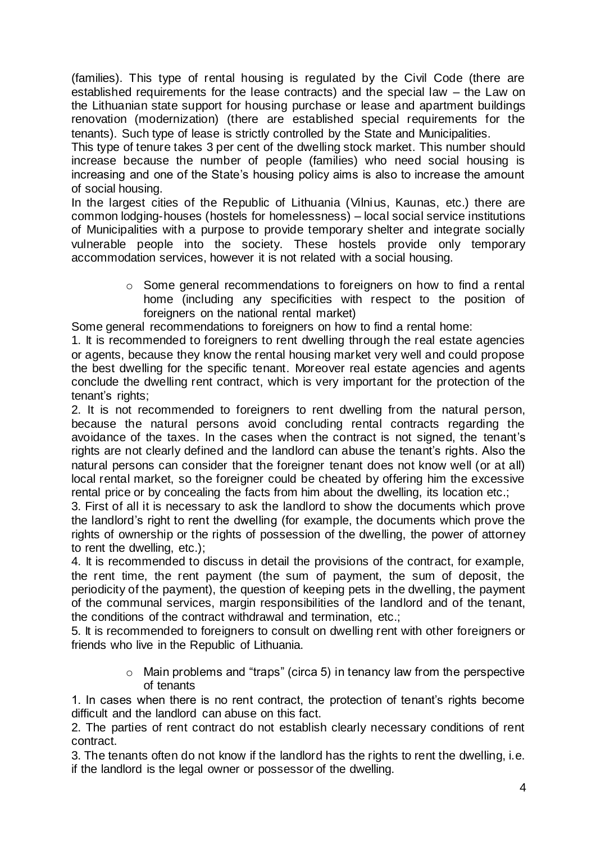(families). This type of rental housing is regulated by the Civil Code (there are established requirements for the lease contracts) and the special law – the Law on the Lithuanian state support for housing purchase or lease and apartment buildings renovation (modernization) (there are established special requirements for the tenants). Such type of lease is strictly controlled by the State and Municipalities.

This type of tenure takes 3 per cent of the dwelling stock market. This number should increase because the number of people (families) who need social housing is increasing and one of the State's housing policy aims is also to increase the amount of social housing.

In the largest cities of the Republic of Lithuania (Vilnius, Kaunas, etc.) there are common lodging-houses (hostels for homelessness) – local social service institutions of Municipalities with a purpose to provide temporary shelter and integrate socially vulnerable people into the society. These hostels provide only temporary accommodation services, however it is not related with a social housing.

> o Some general recommendations to foreigners on how to find a rental home (including any specificities with respect to the position of foreigners on the national rental market)

Some general recommendations to foreigners on how to find a rental home:

1. It is recommended to foreigners to rent dwelling through the real estate agencies or agents, because they know the rental housing market very well and could propose the best dwelling for the specific tenant. Moreover real estate agencies and agents conclude the dwelling rent contract, which is very important for the protection of the tenant's rights;

2. It is not recommended to foreigners to rent dwelling from the natural person, because the natural persons avoid concluding rental contracts regarding the avoidance of the taxes. In the cases when the contract is not signed, the tenant's rights are not clearly defined and the landlord can abuse the tenant's rights. Also the natural persons can consider that the foreigner tenant does not know well (or at all) local rental market, so the foreigner could be cheated by offering him the excessive rental price or by concealing the facts from him about the dwelling, its location etc.;

3. First of all it is necessary to ask the landlord to show the documents which prove the landlord's right to rent the dwelling (for example, the documents which prove the rights of ownership or the rights of possession of the dwelling, the power of attorney to rent the dwelling, etc.);

4. It is recommended to discuss in detail the provisions of the contract, for example, the rent time, the rent payment (the sum of payment, the sum of deposit, the periodicity of the payment), the question of keeping pets in the dwelling, the payment of the communal services, margin responsibilities of the landlord and of the tenant, the conditions of the contract withdrawal and termination, etc.;

5. It is recommended to foreigners to consult on dwelling rent with other foreigners or friends who live in the Republic of Lithuania.

> $\circ$  Main problems and "traps" (circa 5) in tenancy law from the perspective of tenants

1. In cases when there is no rent contract, the protection of tenant's rights become difficult and the landlord can abuse on this fact.

2. The parties of rent contract do not establish clearly necessary conditions of rent contract.

3. The tenants often do not know if the landlord has the rights to rent the dwelling, i.e. if the landlord is the legal owner or possessor of the dwelling.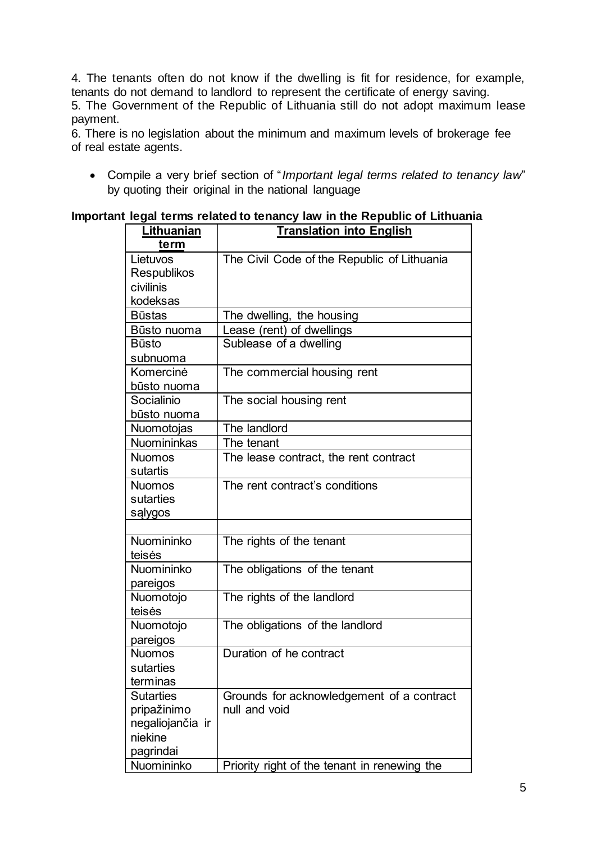4. The tenants often do not know if the dwelling is fit for residence, for example, tenants do not demand to landlord to represent the certificate of energy saving.

5. The Government of the Republic of Lithuania still do not adopt maximum lease payment.

6. There is no legislation about the minimum and maximum levels of brokerage fee of real estate agents.

 Compile a very brief section of "*Important legal terms related to tenancy law*" by quoting their original in the national language

#### **Important legal terms related to tenancy law in the Republic of Lithuania**

| Lithuanian         | <b>Translation into English</b>              |
|--------------------|----------------------------------------------|
| term               |                                              |
| Lietuvos           | The Civil Code of the Republic of Lithuania  |
| <b>Respublikos</b> |                                              |
| civilinis          |                                              |
| kodeksas           |                                              |
| <b>Būstas</b>      | The dwelling, the housing                    |
| Būsto nuoma        | Lease (rent) of dwellings                    |
| <b>Būsto</b>       | Sublease of a dwelling                       |
| subnuoma           |                                              |
| Komercinė          | The commercial housing rent                  |
| būsto nuoma        |                                              |
| Socialinio         | The social housing rent                      |
| būsto nuoma        |                                              |
| Nuomotojas         | The landlord                                 |
| <b>Nuomininkas</b> | The tenant                                   |
| <b>Nuomos</b>      | The lease contract, the rent contract        |
| sutartis           |                                              |
| <b>Nuomos</b>      | The rent contract's conditions               |
| sutarties          |                                              |
| sąlygos            |                                              |
|                    |                                              |
| Nuomininko         | The rights of the tenant                     |
| teisės             |                                              |
| Nuomininko         | The obligations of the tenant                |
| pareigos           |                                              |
| Nuomotojo          | The rights of the landlord                   |
| teisės             |                                              |
| Nuomotojo          | The obligations of the landlord              |
| pareigos           |                                              |
| <b>Nuomos</b>      | Duration of he contract                      |
| sutarties          |                                              |
| terminas           |                                              |
| <b>Sutarties</b>   | Grounds for acknowledgement of a contract    |
| pripažinimo        | null and void                                |
| negaliojančia ir   |                                              |
| niekine            |                                              |
| pagrindai          |                                              |
| Nuomininko         | Priority right of the tenant in renewing the |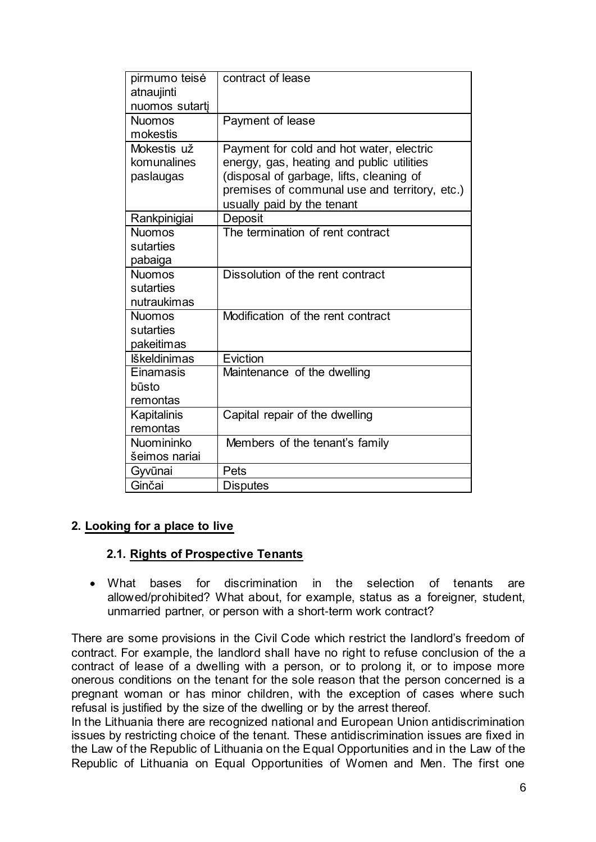| pirmumo teisė       | contract of lease                             |
|---------------------|-----------------------------------------------|
| atnaujinti          |                                               |
| nuomos sutarti      |                                               |
| <b>Nuomos</b>       | Payment of lease                              |
| mokestis            |                                               |
| Mokestis už         | Payment for cold and hot water, electric      |
| komunalines         | energy, gas, heating and public utilities     |
| paslaugas           | (disposal of garbage, lifts, cleaning of      |
|                     | premises of communal use and territory, etc.) |
|                     | usually paid by the tenant                    |
| Rankpinigiai        | Deposit                                       |
| <b>Nuomos</b>       | The termination of rent contract              |
| sutarties           |                                               |
| pabaiga             |                                               |
| <b>Nuomos</b>       | Dissolution of the rent contract              |
| sutarties           |                                               |
| nutraukimas         |                                               |
| <b>Nuomos</b>       | Modification of the rent contract             |
| sutarties           |                                               |
| pakeitimas          |                                               |
| <b>Iškeldinimas</b> | Eviction                                      |
| Einamasis           | Maintenance of the dwelling                   |
| būsto               |                                               |
| remontas            |                                               |
| Kapitalinis         | Capital repair of the dwelling                |
| remontas            |                                               |
| Nuomininko          | Members of the tenant's family                |
| šeimos nariai       |                                               |
| Gyvūnai             | Pets                                          |
| Ginčai              | <b>Disputes</b>                               |

# **2. Looking for a place to live**

#### **2.1. Rights of Prospective Tenants**

 What bases for discrimination in the selection of tenants are allowed/prohibited? What about, for example, status as a foreigner, student, unmarried partner, or person with a short-term work contract?

There are some provisions in the Civil Code which restrict the landlord's freedom of contract. For example, the landlord shall have no right to refuse conclusion of the a contract of lease of a dwelling with a person, or to prolong it, or to impose more onerous conditions on the tenant for the sole reason that the person concerned is a pregnant woman or has minor children, with the exception of cases where such refusal is justified by the size of the dwelling or by the arrest thereof.

In the Lithuania there are recognized national and European Union antidiscrimination issues by restricting choice of the tenant. These antidiscrimination issues are fixed in the Law of the Republic of Lithuania on the Equal Opportunities and in the Law of the Republic of Lithuania on Equal Opportunities of Women and Men. The first one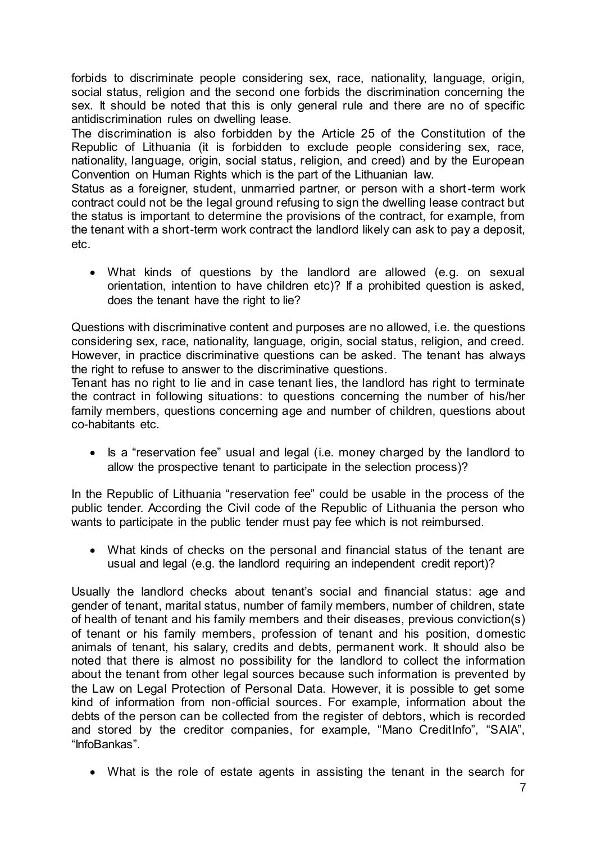forbids to discriminate people considering sex, race, nationality, language, origin, social status, religion and the second one forbids the discrimination concerning the sex. It should be noted that this is only general rule and there are no of specific antidiscrimination rules on dwelling lease.

The discrimination is also forbidden by the Article 25 of the Constitution of the Republic of Lithuania (it is forbidden to exclude people considering sex, race, nationality, language, origin, social status, religion, and creed) and by the European Convention on Human Rights which is the part of the Lithuanian law.

Status as a foreigner, student, unmarried partner, or person with a short-term work contract could not be the legal ground refusing to sign the dwelling lease contract but the status is important to determine the provisions of the contract, for example, from the tenant with a short-term work contract the landlord likely can ask to pay a deposit, etc.

 What kinds of questions by the landlord are allowed (e.g. on sexual orientation, intention to have children etc)? If a prohibited question is asked, does the tenant have the right to lie?

Questions with discriminative content and purposes are no allowed, i.e. the questions considering sex, race, nationality, language, origin, social status, religion, and creed. However, in practice discriminative questions can be asked. The tenant has always the right to refuse to answer to the discriminative questions.

Tenant has no right to lie and in case tenant lies, the landlord has right to terminate the contract in following situations: to questions concerning the number of his/her family members, questions concerning age and number of children, questions about co-habitants etc.

• Is a "reservation fee" usual and legal (i.e. money charged by the landlord to allow the prospective tenant to participate in the selection process)?

In the Republic of Lithuania "reservation fee" could be usable in the process of the public tender. According the Civil code of the Republic of Lithuania the person who wants to participate in the public tender must pay fee which is not reimbursed.

 What kinds of checks on the personal and financial status of the tenant are usual and legal (e.g. the landlord requiring an independent credit report)?

Usually the landlord checks about tenant's social and financial status: age and gender of tenant, marital status, number of family members, number of children, state of health of tenant and his family members and their diseases, previous conviction(s) of tenant or his family members, profession of tenant and his position, domestic animals of tenant, his salary, credits and debts, permanent work. It should also be noted that there is almost no possibility for the landlord to collect the information about the tenant from other legal sources because such information is prevented by the Law on Legal Protection of Personal Data. However, it is possible to get some kind of information from non-official sources. For example, information about the debts of the person can be collected from the register of debtors, which is recorded and stored by the creditor companies, for example, "Mano CreditInfo", "SAIA", "InfoBankas".

What is the role of estate agents in assisting the tenant in the search for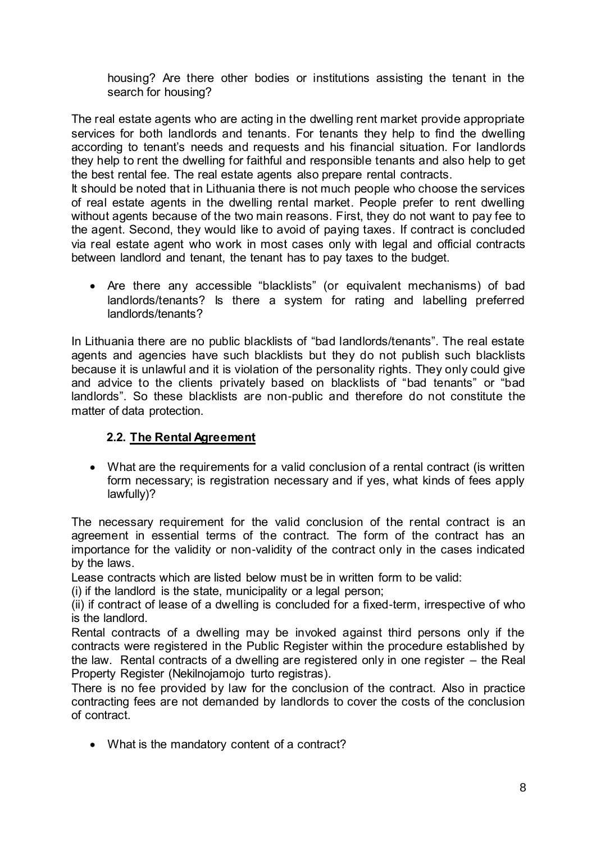housing? Are there other bodies or institutions assisting the tenant in the search for housing?

The real estate agents who are acting in the dwelling rent market provide appropriate services for both landlords and tenants. For tenants they help to find the dwelling according to tenant's needs and requests and his financial situation. For landlords they help to rent the dwelling for faithful and responsible tenants and also help to get the best rental fee. The real estate agents also prepare rental contracts.

It should be noted that in Lithuania there is not much people who choose the services of real estate agents in the dwelling rental market. People prefer to rent dwelling without agents because of the two main reasons. First, they do not want to pay fee to the agent. Second, they would like to avoid of paying taxes. If contract is concluded via real estate agent who work in most cases only with legal and official contracts between landlord and tenant, the tenant has to pay taxes to the budget.

 Are there any accessible "blacklists" (or equivalent mechanisms) of bad landlords/tenants? Is there a system for rating and labelling preferred landlords/tenants?

In Lithuania there are no public blacklists of "bad landlords/tenants". The real estate agents and agencies have such blacklists but they do not publish such blacklists because it is unlawful and it is violation of the personality rights. They only could give and advice to the clients privately based on blacklists of "bad tenants" or "bad landlords". So these blacklists are non-public and therefore do not constitute the matter of data protection.

# **2.2. The Rental Agreement**

 What are the requirements for a valid conclusion of a rental contract (is written form necessary; is registration necessary and if yes, what kinds of fees apply lawfully)?

The necessary requirement for the valid conclusion of the rental contract is an agreement in essential terms of the contract. The form of the contract has an importance for the validity or non-validity of the contract only in the cases indicated by the laws.

Lease contracts which are listed below must be in written form to be valid:

(i) if the landlord is the state, municipality or a legal person;

(ii) if contract of lease of a dwelling is concluded for a fixed-term, irrespective of who is the landlord.

Rental contracts of a dwelling may be invoked against third persons only if the contracts were registered in the Public Register within the procedure established by the law. Rental contracts of a dwelling are registered only in one register – the Real Property Register (Nekilnojamojo turto registras).

There is no fee provided by law for the conclusion of the contract. Also in practice contracting fees are not demanded by landlords to cover the costs of the conclusion of contract.

• What is the mandatory content of a contract?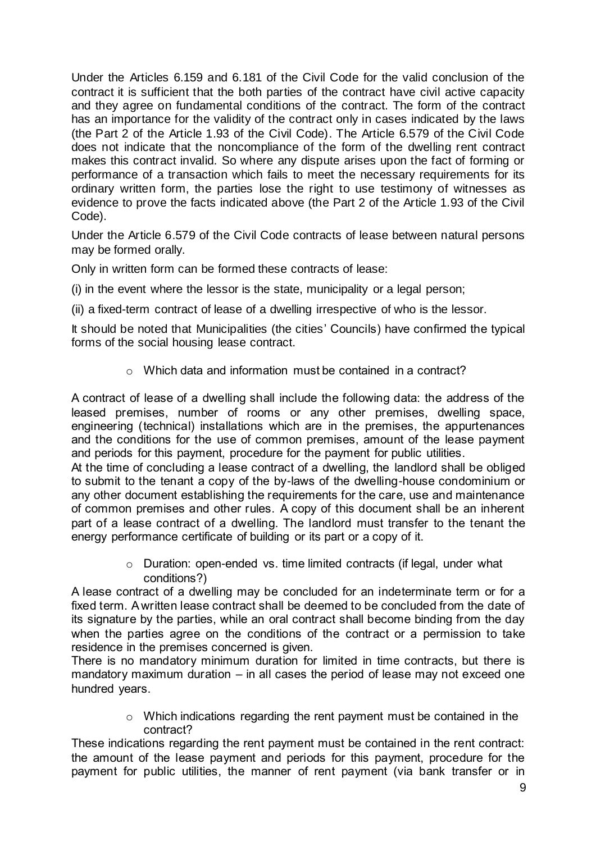Under the Articles 6.159 and 6.181 of the Civil Code for the valid conclusion of the contract it is sufficient that the both parties of the contract have civil active capacity and they agree on fundamental conditions of the contract. The form of the contract has an importance for the validity of the contract only in cases indicated by the laws (the Part 2 of the Article 1.93 of the Civil Code). The Article 6.579 of the Civil Code does not indicate that the noncompliance of the form of the dwelling rent contract makes this contract invalid. So where any dispute arises upon the fact of forming or performance of a transaction which fails to meet the necessary requirements for its ordinary written form, the parties lose the right to use testimony of witnesses as evidence to prove the facts indicated above (the Part 2 of the Article 1.93 of the Civil Code).

Under the Article 6.579 of the Civil Code contracts of lease between natural persons may be formed orally.

Only in written form can be formed these contracts of lease:

(i) in the event where the lessor is the state, municipality or a legal person;

(ii) a fixed-term contract of lease of a dwelling irrespective of who is the lessor.

It should be noted that Municipalities (the cities' Councils) have confirmed the typical forms of the social housing lease contract.

o Which data and information must be contained in a contract?

A contract of lease of a dwelling shall include the following data: the address of the leased premises, number of rooms or any other premises, dwelling space, engineering (technical) installations which are in the premises, the appurtenances and the conditions for the use of common premises, amount of the lease payment and periods for this payment, procedure for the payment for public utilities.

At the time of concluding a lease contract of a dwelling, the landlord shall be obliged to submit to the tenant a copy of the by-laws of the dwelling-house condominium or any other document establishing the requirements for the care, use and maintenance of common premises and other rules. A copy of this document shall be an inherent part of a lease contract of a dwelling. The landlord must transfer to the tenant the energy performance certificate of building or its part or a copy of it.

> o Duration: open-ended vs. time limited contracts (if legal, under what conditions?)

A lease contract of a dwelling may be concluded for an indeterminate term or for a fixed term. A written lease contract shall be deemed to be concluded from the date of its signature by the parties, while an oral contract shall become binding from the day when the parties agree on the conditions of the contract or a permission to take residence in the premises concerned is given.

There is no mandatory minimum duration for limited in time contracts, but there is mandatory maximum duration – in all cases the period of lease may not exceed one hundred years.

> o Which indications regarding the rent payment must be contained in the contract?

These indications regarding the rent payment must be contained in the rent contract: the amount of the lease payment and periods for this payment, procedure for the payment for public utilities, the manner of rent payment (via bank transfer or in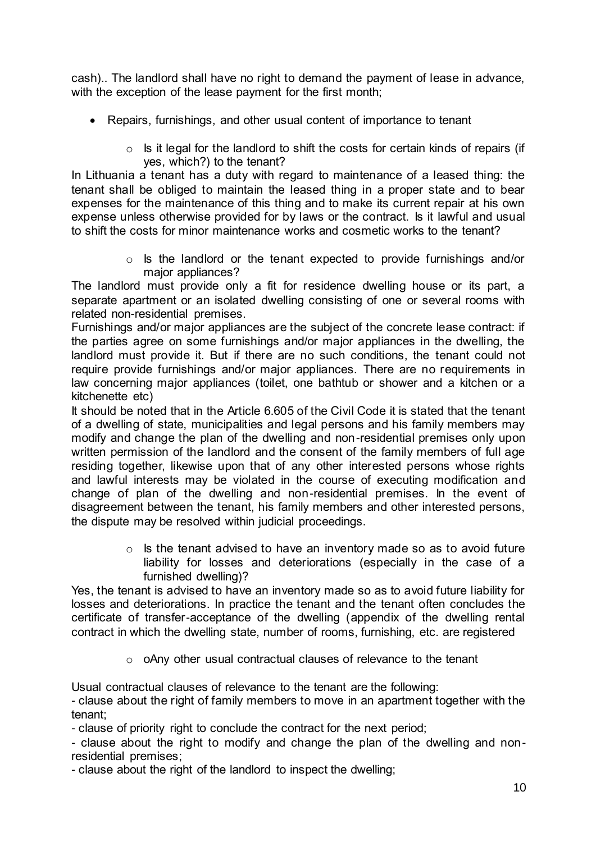cash).. The landlord shall have no right to demand the payment of lease in advance, with the exception of the lease payment for the first month;

- Repairs, furnishings, and other usual content of importance to tenant
	- $\circ$  Is it legal for the landlord to shift the costs for certain kinds of repairs (if yes, which?) to the tenant?

In Lithuania a tenant has a duty with regard to maintenance of a leased thing: the tenant shall be obliged to maintain the leased thing in a proper state and to bear expenses for the maintenance of this thing and to make its current repair at his own expense unless otherwise provided for by laws or the contract. Is it lawful and usual to shift the costs for minor maintenance works and cosmetic works to the tenant?

> o Is the landlord or the tenant expected to provide furnishings and/or major appliances?

The landlord must provide only a fit for residence dwelling house or its part, a separate apartment or an isolated dwelling consisting of one or several rooms with related non-residential premises.

Furnishings and/or major appliances are the subject of the concrete lease contract: if the parties agree on some furnishings and/or major appliances in the dwelling, the landlord must provide it. But if there are no such conditions, the tenant could not require provide furnishings and/or major appliances. There are no requirements in law concerning major appliances (toilet, one bathtub or shower and a kitchen or a kitchenette etc)

It should be noted that in the Article 6.605 of the Civil Code it is stated that the tenant of a dwelling of state, municipalities and legal persons and his family members may modify and change the plan of the dwelling and non-residential premises only upon written permission of the landlord and the consent of the family members of full age residing together, likewise upon that of any other interested persons whose rights and lawful interests may be violated in the course of executing modification and change of plan of the dwelling and non-residential premises. In the event of disagreement between the tenant, his family members and other interested persons, the dispute may be resolved within judicial proceedings.

> $\circ$  Is the tenant advised to have an inventory made so as to avoid future liability for losses and deteriorations (especially in the case of a furnished dwelling)?

Yes, the tenant is advised to have an inventory made so as to avoid future liability for losses and deteriorations. In practice the tenant and the tenant often concludes the certificate of transfer-acceptance of the dwelling (appendix of the dwelling rental contract in which the dwelling state, number of rooms, furnishing, etc. are registered

o oAny other usual contractual clauses of relevance to the tenant

Usual contractual clauses of relevance to the tenant are the following:

- clause about the right of family members to move in an apartment together with the tenant;

- clause of priority right to conclude the contract for the next period;

- clause about the right to modify and change the plan of the dwelling and nonresidential premises;

- clause about the right of the landlord to inspect the dwelling;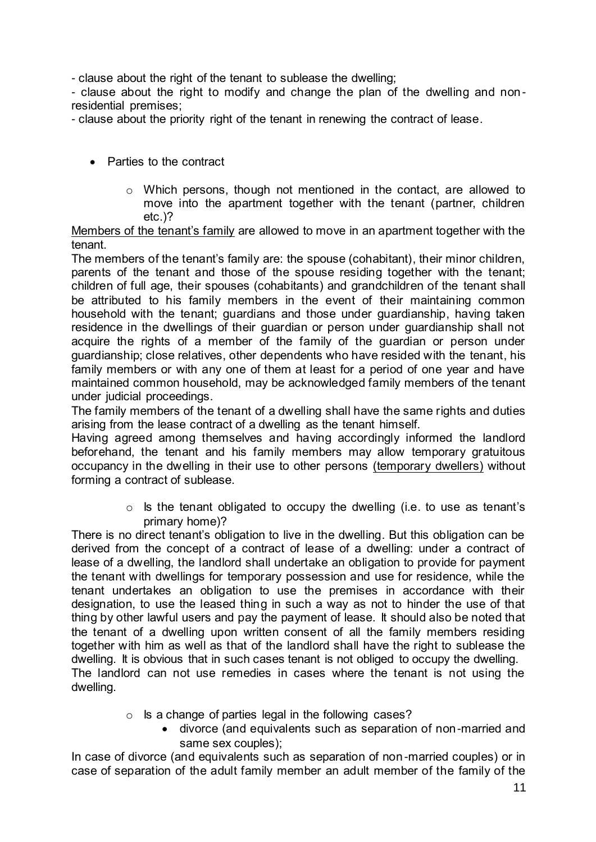- clause about the right of the tenant to sublease the dwelling;

- clause about the right to modify and change the plan of the dwelling and nonresidential premises;

- clause about the priority right of the tenant in renewing the contract of lease.

- Parties to the contract
	- o Which persons, though not mentioned in the contact, are allowed to move into the apartment together with the tenant (partner, children etc.)?

Members of the tenant's family are allowed to move in an apartment together with the tenant.

The members of the tenant's family are: the spouse (cohabitant), their minor children, parents of the tenant and those of the spouse residing together with the tenant; children of full age, their spouses (cohabitants) and grandchildren of the tenant shall be attributed to his family members in the event of their maintaining common household with the tenant; guardians and those under guardianship, having taken residence in the dwellings of their guardian or person under guardianship shall not acquire the rights of a member of the family of the guardian or person under guardianship; close relatives, other dependents who have resided with the tenant, his family members or with any one of them at least for a period of one year and have maintained common household, may be acknowledged family members of the tenant under judicial proceedings.

The family members of the tenant of a dwelling shall have the same rights and duties arising from the lease contract of a dwelling as the tenant himself.

Having agreed among themselves and having accordingly informed the landlord beforehand, the tenant and his family members may allow temporary gratuitous occupancy in the dwelling in their use to other persons (temporary dwellers) without forming a contract of sublease.

> $\circ$  Is the tenant obligated to occupy the dwelling (i.e. to use as tenant's primary home)?

There is no direct tenant's obligation to live in the dwelling. But this obligation can be derived from the concept of a contract of lease of a dwelling: under a contract of lease of a dwelling, the landlord shall undertake an obligation to provide for payment the tenant with dwellings for temporary possession and use for residence, while the tenant undertakes an obligation to use the premises in accordance with their designation, to use the leased thing in such a way as not to hinder the use of that thing by other lawful users and pay the payment of lease. It should also be noted that the tenant of a dwelling upon written consent of all the family members residing together with him as well as that of the landlord shall have the right to sublease the dwelling. It is obvious that in such cases tenant is not obliged to occupy the dwelling.

The landlord can not use remedies in cases where the tenant is not using the dwelling.

- o Is a change of parties legal in the following cases?
	- divorce (and equivalents such as separation of non-married and same sex couples);

In case of divorce (and equivalents such as separation of non-married couples) or in case of separation of the adult family member an adult member of the family of the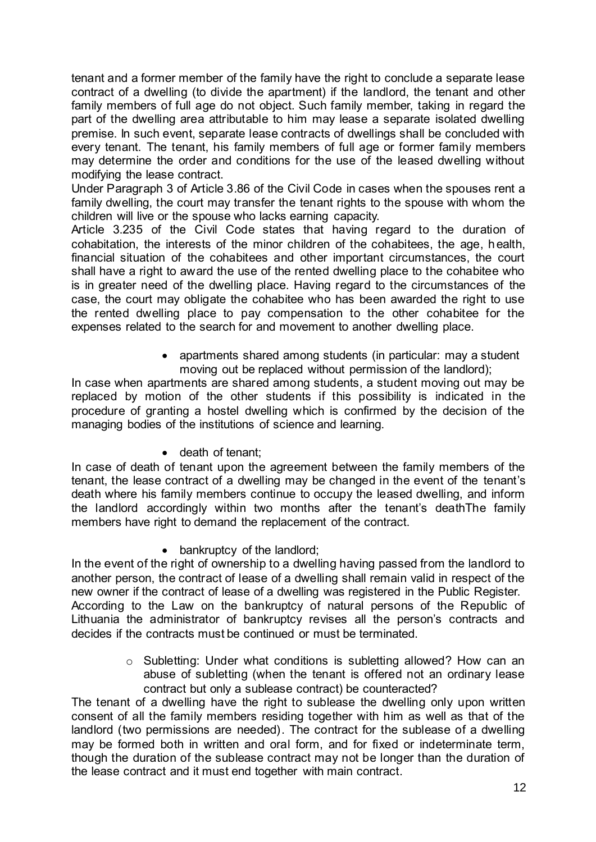tenant and a former member of the family have the right to conclude a separate lease contract of a dwelling (to divide the apartment) if the landlord, the tenant and other family members of full age do not object. Such family member, taking in regard the part of the dwelling area attributable to him may lease a separate isolated dwelling premise. In such event, separate lease contracts of dwellings shall be concluded with every tenant. The tenant, his family members of full age or former family members may determine the order and conditions for the use of the leased dwelling without modifying the lease contract.

Under Paragraph 3 of Article 3.86 of the Civil Code in cases when the spouses rent a family dwelling, the court may transfer the tenant rights to the spouse with whom the children will live or the spouse who lacks earning capacity.

Article 3.235 of the Civil Code states that having regard to the duration of cohabitation, the interests of the minor children of the cohabitees, the age, health, financial situation of the cohabitees and other important circumstances, the court shall have a right to award the use of the rented dwelling place to the cohabitee who is in greater need of the dwelling place. Having regard to the circumstances of the case, the court may obligate the cohabitee who has been awarded the right to use the rented dwelling place to pay compensation to the other cohabitee for the expenses related to the search for and movement to another dwelling place.

> • apartments shared among students (in particular: may a student moving out be replaced without permission of the landlord);

In case when apartments are shared among students, a student moving out may be replaced by motion of the other students if this possibility is indicated in the procedure of granting a hostel dwelling which is confirmed by the decision of the managing bodies of the institutions of science and learning.

• death of tenant;

In case of death of tenant upon the agreement between the family members of the tenant, the lease contract of a dwelling may be changed in the event of the tenant's death where his family members continue to occupy the leased dwelling, and inform the landlord accordingly within two months after the tenant's deathThe family members have right to demand the replacement of the contract.

• bankruptcy of the landlord;

In the event of the right of ownership to a dwelling having passed from the landlord to another person, the contract of lease of a dwelling shall remain valid in respect of the new owner if the contract of lease of a dwelling was registered in the Public Register. According to the Law on the bankruptcy of natural persons of the Republic of Lithuania the administrator of bankruptcy revises all the person's contracts and decides if the contracts must be continued or must be terminated.

> o Subletting: Under what conditions is subletting allowed? How can an abuse of subletting (when the tenant is offered not an ordinary lease contract but only a sublease contract) be counteracted?

The tenant of a dwelling have the right to sublease the dwelling only upon written consent of all the family members residing together with him as well as that of the landlord (two permissions are needed). The contract for the sublease of a dwelling may be formed both in written and oral form, and for fixed or indeterminate term, though the duration of the sublease contract may not be longer than the duration of the lease contract and it must end together with main contract.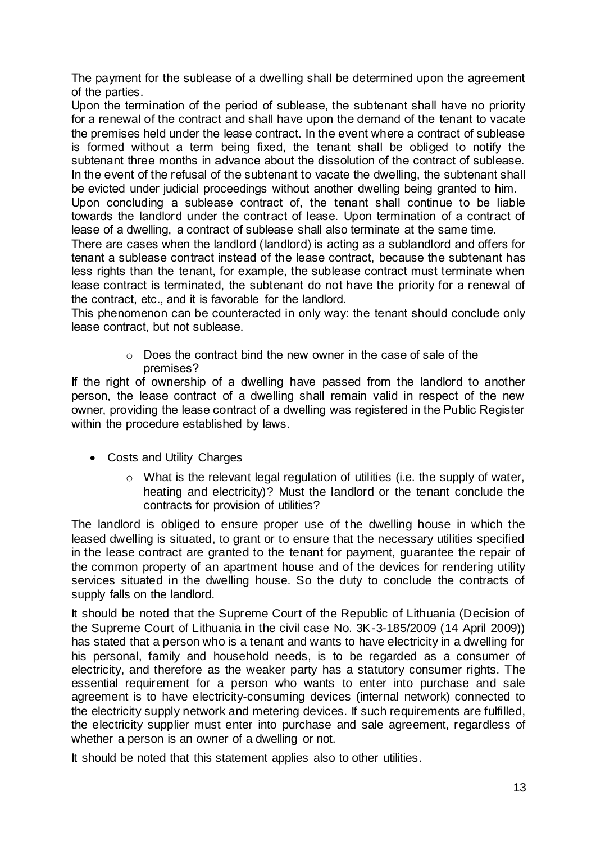The payment for the sublease of a dwelling shall be determined upon the agreement of the parties.

Upon the termination of the period of sublease, the subtenant shall have no priority for a renewal of the contract and shall have upon the demand of the tenant to vacate the premises held under the lease contract. In the event where a contract of sublease is formed without a term being fixed, the tenant shall be obliged to notify the subtenant three months in advance about the dissolution of the contract of sublease. In the event of the refusal of the subtenant to vacate the dwelling, the subtenant shall be evicted under judicial proceedings without another dwelling being granted to him.

Upon concluding a sublease contract of, the tenant shall continue to be liable towards the landlord under the contract of lease. Upon termination of a contract of lease of a dwelling, a contract of sublease shall also terminate at the same time.

There are cases when the landlord (landlord) is acting as a sublandlord and offers for tenant a sublease contract instead of the lease contract, because the subtenant has less rights than the tenant, for example, the sublease contract must terminate when lease contract is terminated, the subtenant do not have the priority for a renewal of the contract, etc., and it is favorable for the landlord.

This phenomenon can be counteracted in only way: the tenant should conclude only lease contract, but not sublease.

> o Does the contract bind the new owner in the case of sale of the premises?

If the right of ownership of a dwelling have passed from the landlord to another person, the lease contract of a dwelling shall remain valid in respect of the new owner, providing the lease contract of a dwelling was registered in the Public Register within the procedure established by laws.

- Costs and Utility Charges
	- o What is the relevant legal regulation of utilities (i.e. the supply of water, heating and electricity)? Must the landlord or the tenant conclude the contracts for provision of utilities?

The landlord is obliged to ensure proper use of the dwelling house in which the leased dwelling is situated, to grant or to ensure that the necessary utilities specified in the lease contract are granted to the tenant for payment, guarantee the repair of the common property of an apartment house and of the devices for rendering utility services situated in the dwelling house. So the duty to conclude the contracts of supply falls on the landlord.

It should be noted that the Supreme Court of the Republic of Lithuania (Decision of the Supreme Court of Lithuania in the civil case No. 3K-3-185/2009 (14 April 2009)) has stated that a person who is a tenant and wants to have electricity in a dwelling for his personal, family and household needs, is to be regarded as a consumer of electricity, and therefore as the weaker party has a statutory consumer rights. The essential requirement for a person who wants to enter into purchase and sale agreement is to have electricity-consuming devices (internal network) connected to the electricity supply network and metering devices. If such requirements are fulfilled, the electricity supplier must enter into purchase and sale agreement, regardless of whether a person is an owner of a dwelling or not.

It should be noted that this statement applies also to other utilities.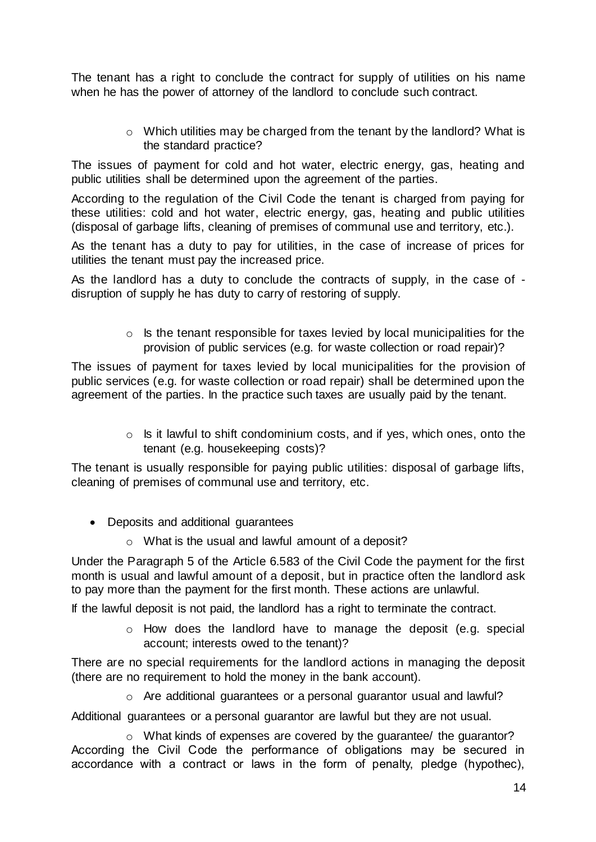The tenant has a right to conclude the contract for supply of utilities on his name when he has the power of attorney of the landlord to conclude such contract.

> $\circ$  Which utilities may be charged from the tenant by the landlord? What is the standard practice?

The issues of payment for cold and hot water, electric energy, gas, heating and public utilities shall be determined upon the agreement of the parties.

According to the regulation of the Civil Code the tenant is charged from paying for these utilities: cold and hot water, electric energy, gas, heating and public utilities (disposal of garbage lifts, cleaning of premises of communal use and territory, etc.).

As the tenant has a duty to pay for utilities, in the case of increase of prices for utilities the tenant must pay the increased price.

As the landlord has a duty to conclude the contracts of supply, in the case of disruption of supply he has duty to carry of restoring of supply.

> o Is the tenant responsible for taxes levied by local municipalities for the provision of public services (e.g. for waste collection or road repair)?

The issues of payment for taxes levied by local municipalities for the provision of public services (e.g. for waste collection or road repair) shall be determined upon the agreement of the parties. In the practice such taxes are usually paid by the tenant.

> $\circ$  Is it lawful to shift condominium costs, and if yes, which ones, onto the tenant (e.g. housekeeping costs)?

The tenant is usually responsible for paying public utilities: disposal of garbage lifts, cleaning of premises of communal use and territory, etc.

- Deposits and additional guarantees
	- o What is the usual and lawful amount of a deposit?

Under the Paragraph 5 of the Article 6.583 of the Civil Code the payment for the first month is usual and lawful amount of a deposit, but in practice often the landlord ask to pay more than the payment for the first month. These actions are unlawful.

If the lawful deposit is not paid, the landlord has a right to terminate the contract.

o How does the landlord have to manage the deposit (e.g. special account; interests owed to the tenant)?

There are no special requirements for the landlord actions in managing the deposit (there are no requirement to hold the money in the bank account).

 $\circ$  Are additional guarantees or a personal guarantor usual and lawful?

Additional guarantees or a personal guarantor are lawful but they are not usual.

o What kinds of expenses are covered by the guarantee/ the guarantor? According the Civil Code the performance of obligations may be secured in accordance with a contract or laws in the form of penalty, pledge (hypothec),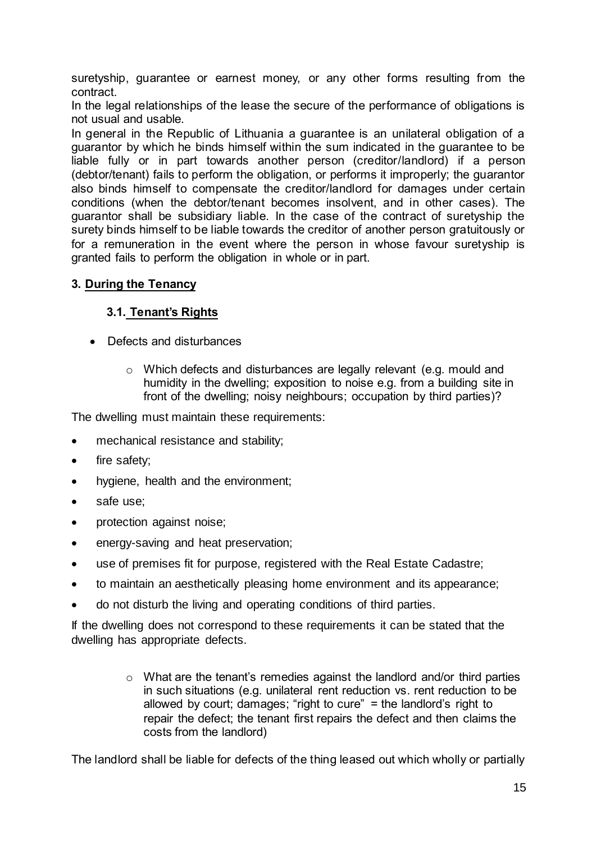suretyship, guarantee or earnest money, or any other forms resulting from the contract.

In the legal relationships of the lease the secure of the performance of obligations is not usual and usable.

In general in the Republic of Lithuania a guarantee is an unilateral obligation of a guarantor by which he binds himself within the sum indicated in the guarantee to be liable fully or in part towards another person (creditor/landlord) if a person (debtor/tenant) fails to perform the obligation, or performs it improperly; the guarantor also binds himself to compensate the creditor/landlord for damages under certain conditions (when the debtor/tenant becomes insolvent, and in other cases). The guarantor shall be subsidiary liable. In the case of the contract of suretyship the surety binds himself to be liable towards the creditor of another person gratuitously or for a remuneration in the event where the person in whose favour suretyship is granted fails to perform the obligation in whole or in part.

# **3. During the Tenancy**

# **3.1. Tenant's Rights**

- Defects and disturbances
	- o Which defects and disturbances are legally relevant (e.g. mould and humidity in the dwelling; exposition to noise e.g. from a building site in front of the dwelling; noisy neighbours; occupation by third parties)?

The dwelling must maintain these requirements:

- mechanical resistance and stability;
- fire safety;
- hygiene, health and the environment;
- safe use:
- protection against noise;
- energy-saving and heat preservation;
- use of premises fit for purpose, registered with the Real Estate Cadastre;
- to maintain an aesthetically pleasing home environment and its appearance;
- do not disturb the living and operating conditions of third parties.

If the dwelling does not correspond to these requirements it can be stated that the dwelling has appropriate defects.

> o What are the tenant's remedies against the landlord and/or third parties in such situations (e.g. unilateral rent reduction vs. rent reduction to be allowed by court; damages; "right to cure" = the landlord's right to repair the defect; the tenant first repairs the defect and then claims the costs from the landlord)

The landlord shall be liable for defects of the thing leased out which wholly or partially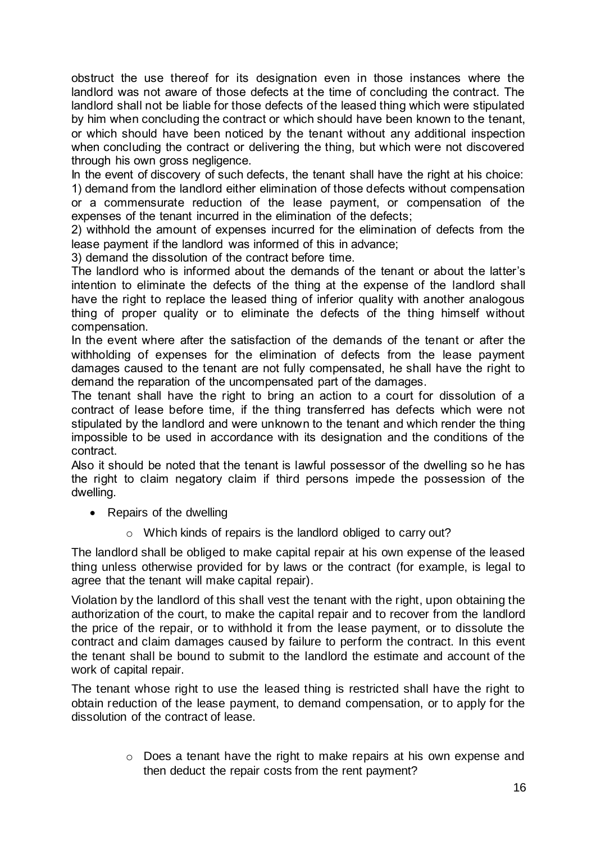obstruct the use thereof for its designation even in those instances where the landlord was not aware of those defects at the time of concluding the contract. The landlord shall not be liable for those defects of the leased thing which were stipulated by him when concluding the contract or which should have been known to the tenant, or which should have been noticed by the tenant without any additional inspection when concluding the contract or delivering the thing, but which were not discovered through his own gross negligence.

In the event of discovery of such defects, the tenant shall have the right at his choice: 1) demand from the landlord either elimination of those defects without compensation or a commensurate reduction of the lease payment, or compensation of the expenses of the tenant incurred in the elimination of the defects;

2) withhold the amount of expenses incurred for the elimination of defects from the lease payment if the landlord was informed of this in advance;

3) demand the dissolution of the contract before time.

The landlord who is informed about the demands of the tenant or about the latter's intention to eliminate the defects of the thing at the expense of the landlord shall have the right to replace the leased thing of inferior quality with another analogous thing of proper quality or to eliminate the defects of the thing himself without compensation.

In the event where after the satisfaction of the demands of the tenant or after the withholding of expenses for the elimination of defects from the lease payment damages caused to the tenant are not fully compensated, he shall have the right to demand the reparation of the uncompensated part of the damages.

The tenant shall have the right to bring an action to a court for dissolution of a contract of lease before time, if the thing transferred has defects which were not stipulated by the landlord and were unknown to the tenant and which render the thing impossible to be used in accordance with its designation and the conditions of the contract.

Also it should be noted that the tenant is lawful possessor of the dwelling so he has the right to claim negatory claim if third persons impede the possession of the dwelling.

- Repairs of the dwelling
	- o Which kinds of repairs is the landlord obliged to carry out?

The landlord shall be obliged to make capital repair at his own expense of the leased thing unless otherwise provided for by laws or the contract (for example, is legal to agree that the tenant will make capital repair).

Violation by the landlord of this shall vest the tenant with the right, upon obtaining the authorization of the court, to make the capital repair and to recover from the landlord the price of the repair, or to withhold it from the lease payment, or to dissolute the contract and claim damages caused by failure to perform the contract. In this event the tenant shall be bound to submit to the landlord the estimate and account of the work of capital repair.

The tenant whose right to use the leased thing is restricted shall have the right to obtain reduction of the lease payment, to demand compensation, or to apply for the dissolution of the contract of lease.

> o Does a tenant have the right to make repairs at his own expense and then deduct the repair costs from the rent payment?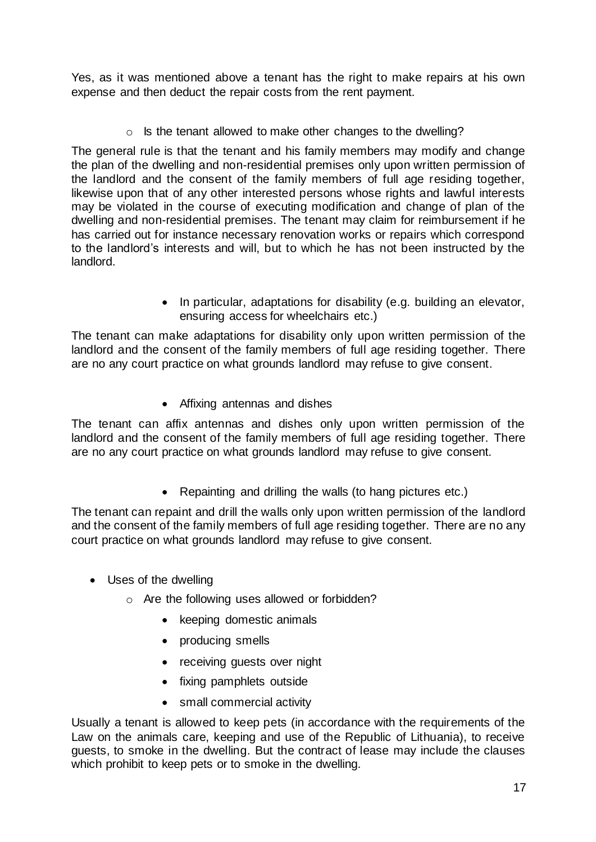Yes, as it was mentioned above a tenant has the right to make repairs at his own expense and then deduct the repair costs from the rent payment.

o Is the tenant allowed to make other changes to the dwelling?

The general rule is that the tenant and his family members may modify and change the plan of the dwelling and non-residential premises only upon written permission of the landlord and the consent of the family members of full age residing together, likewise upon that of any other interested persons whose rights and lawful interests may be violated in the course of executing modification and change of plan of the dwelling and non-residential premises. The tenant may claim for reimbursement if he has carried out for instance necessary renovation works or repairs which correspond to the landlord's interests and will, but to which he has not been instructed by the landlord.

> • In particular, adaptations for disability (e.g. building an elevator, ensuring access for wheelchairs etc.)

The tenant can make adaptations for disability only upon written permission of the landlord and the consent of the family members of full age residing together. There are no any court practice on what grounds landlord may refuse to give consent.

• Affixing antennas and dishes

The tenant can affix antennas and dishes only upon written permission of the landlord and the consent of the family members of full age residing together. There are no any court practice on what grounds landlord may refuse to give consent.

Repainting and drilling the walls (to hang pictures etc.)

The tenant can repaint and drill the walls only upon written permission of the landlord and the consent of the family members of full age residing together. There are no any court practice on what grounds landlord may refuse to give consent.

- Uses of the dwelling
	- o Are the following uses allowed or forbidden?
		- keeping domestic animals
		- producing smells
		- receiving quests over night
		- fixing pamphlets outside
		- small commercial activity

Usually a tenant is allowed to keep pets (in accordance with the requirements of the Law on the animals care, keeping and use of the Republic of Lithuania), to receive guests, to smoke in the dwelling. But the contract of lease may include the clauses which prohibit to keep pets or to smoke in the dwelling.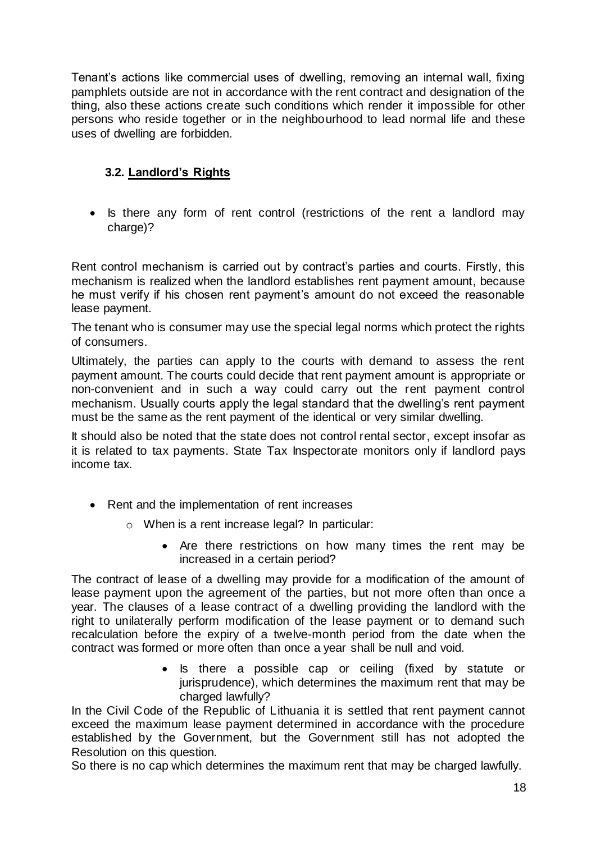Tenant's actions like commercial uses of dwelling, removing an internal wall, fixing pamphlets outside are not in accordance with the rent contract and designation of the thing, also these actions create such conditions which render it impossible for other persons who reside together or in the neighbourhood to lead normal life and these uses of dwelling are forbidden.

# **3.2. Landlord's Rights**

• Is there any form of rent control (restrictions of the rent a landlord may charge)?

Rent control mechanism is carried out by contract's parties and courts. Firstly, this mechanism is realized when the landlord establishes rent payment amount, because he must verify if his chosen rent payment's amount do not exceed the reasonable lease payment.

The tenant who is consumer may use the special legal norms which protect the rights of consumers.

Ultimately, the parties can apply to the courts with demand to assess the rent payment amount. The courts could decide that rent payment amount is appropriate or non-convenient and in such a way could carry out the rent payment control mechanism. Usually courts apply the legal standard that the dwelling's rent payment must be the same as the rent payment of the identical or very similar dwelling.

It should also be noted that the state does not control rental sector, except insofar as it is related to tax payments. State Tax Inspectorate monitors only if landlord pays income tax.

- Rent and the implementation of rent increases
	- o When is a rent increase legal? In particular:
		- Are there restrictions on how many times the rent may be increased in a certain period?

The contract of lease of a dwelling may provide for a modification of the amount of lease payment upon the agreement of the parties, but not more often than once a year. The clauses of a lease contract of a dwelling providing the landlord with the right to unilaterally perform modification of the lease payment or to demand such recalculation before the expiry of a twelve-month period from the date when the contract was formed or more often than once a year shall be null and void.

> • Is there a possible cap or ceiling (fixed by statute or jurisprudence), which determines the maximum rent that may be charged lawfully?

In the Civil Code of the Republic of Lithuania it is settled that rent payment cannot exceed the maximum lease payment determined in accordance with the procedure established by the Government, but the Government still has not adopted the Resolution on this question.

So there is no cap which determines the maximum rent that may be charged lawfully.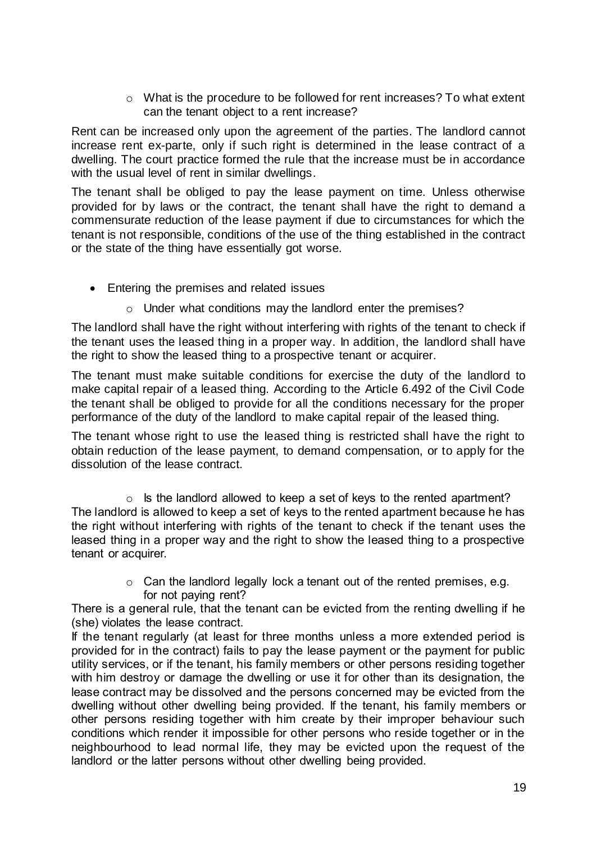$\circ$  What is the procedure to be followed for rent increases? To what extent can the tenant object to a rent increase?

Rent can be increased only upon the agreement of the parties. The landlord cannot increase rent ex-parte, only if such right is determined in the lease contract of a dwelling. The court practice formed the rule that the increase must be in accordance with the usual level of rent in similar dwellings.

The tenant shall be obliged to pay the lease payment on time. Unless otherwise provided for by laws or the contract, the tenant shall have the right to demand a commensurate reduction of the lease payment if due to circumstances for which the tenant is not responsible, conditions of the use of the thing established in the contract or the state of the thing have essentially got worse.

- Entering the premises and related issues
	- o Under what conditions may the landlord enter the premises?

The landlord shall have the right without interfering with rights of the tenant to check if the tenant uses the leased thing in a proper way. In addition, the landlord shall have the right to show the leased thing to a prospective tenant or acquirer.

The tenant must make suitable conditions for exercise the duty of the landlord to make capital repair of a leased thing. According to the Article 6.492 of the Civil Code the tenant shall be obliged to provide for all the conditions necessary for the proper performance of the duty of the landlord to make capital repair of the leased thing.

The tenant whose right to use the leased thing is restricted shall have the right to obtain reduction of the lease payment, to demand compensation, or to apply for the dissolution of the lease contract.

 $\circ$  Is the landlord allowed to keep a set of keys to the rented apartment? The landlord is allowed to keep a set of keys to the rented apartment because he has the right without interfering with rights of the tenant to check if the tenant uses the leased thing in a proper way and the right to show the leased thing to a prospective tenant or acquirer.

> o Can the landlord legally lock a tenant out of the rented premises, e.g. for not paying rent?

There is a general rule, that the tenant can be evicted from the renting dwelling if he (she) violates the lease contract.

If the tenant regularly (at least for three months unless a more extended period is provided for in the contract) fails to pay the lease payment or the payment for public utility services, or if the tenant, his family members or other persons residing together with him destroy or damage the dwelling or use it for other than its designation, the lease contract may be dissolved and the persons concerned may be evicted from the dwelling without other dwelling being provided. If the tenant, his family members or other persons residing together with him create by their improper behaviour such conditions which render it impossible for other persons who reside together or in the neighbourhood to lead normal life, they may be evicted upon the request of the landlord or the latter persons without other dwelling being provided.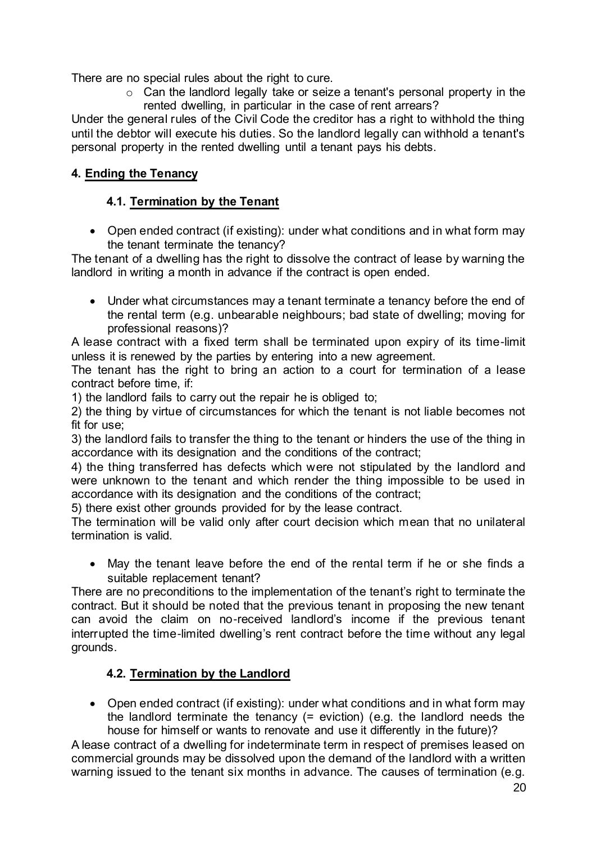There are no special rules about the right to cure.

o Can the landlord legally take or seize a tenant's personal property in the rented dwelling, in particular in the case of rent arrears?

Under the general rules of the Civil Code the creditor has a right to withhold the thing until the debtor will execute his duties. So the landlord legally can withhold a tenant's personal property in the rented dwelling until a tenant pays his debts.

# **4. Ending the Tenancy**

# **4.1. Termination by the Tenant**

• Open ended contract (if existing): under what conditions and in what form may the tenant terminate the tenancy?

The tenant of a dwelling has the right to dissolve the contract of lease by warning the landlord in writing a month in advance if the contract is open ended.

 Under what circumstances may a tenant terminate a tenancy before the end of the rental term (e.g. unbearable neighbours; bad state of dwelling; moving for professional reasons)?

A lease contract with a fixed term shall be terminated upon expiry of its time-limit unless it is renewed by the parties by entering into a new agreement.

The tenant has the right to bring an action to a court for termination of a lease contract before time, if:

1) the landlord fails to carry out the repair he is obliged to;

2) the thing by virtue of circumstances for which the tenant is not liable becomes not fit for use;

3) the landlord fails to transfer the thing to the tenant or hinders the use of the thing in accordance with its designation and the conditions of the contract;

4) the thing transferred has defects which were not stipulated by the landlord and were unknown to the tenant and which render the thing impossible to be used in accordance with its designation and the conditions of the contract;

5) there exist other grounds provided for by the lease contract.

The termination will be valid only after court decision which mean that no unilateral termination is valid.

 May the tenant leave before the end of the rental term if he or she finds a suitable replacement tenant?

There are no preconditions to the implementation of the tenant's right to terminate the contract. But it should be noted that the previous tenant in proposing the new tenant can avoid the claim on no-received landlord's income if the previous tenant interrupted the time-limited dwelling's rent contract before the time without any legal grounds.

# **4.2. Termination by the Landlord**

• Open ended contract (if existing): under what conditions and in what form may the landlord terminate the tenancy (= eviction) (e.g. the landlord needs the house for himself or wants to renovate and use it differently in the future)?

A lease contract of a dwelling for indeterminate term in respect of premises leased on commercial grounds may be dissolved upon the demand of the landlord with a written warning issued to the tenant six months in advance. The causes of termination (e.g.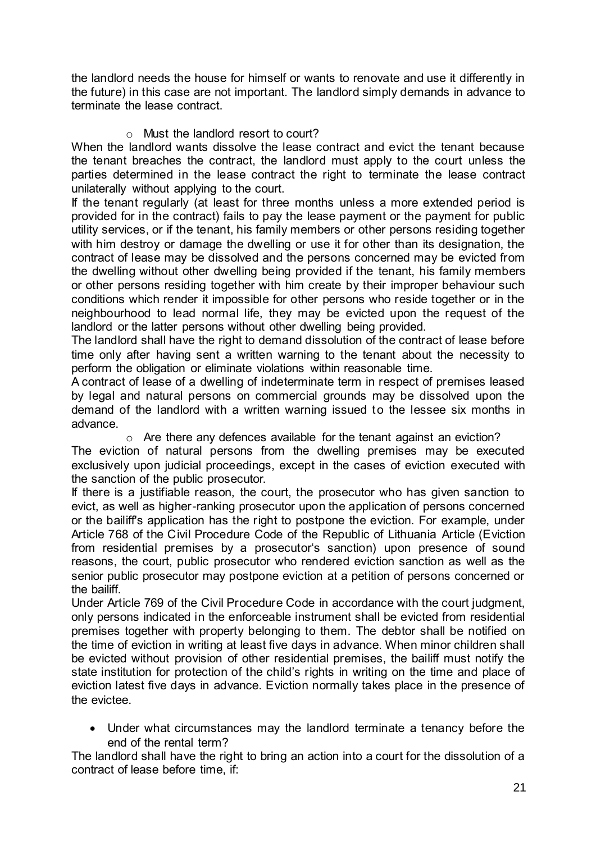the landlord needs the house for himself or wants to renovate and use it differently in the future) in this case are not important. The landlord simply demands in advance to terminate the lease contract.

# o Must the landlord resort to court?

When the landlord wants dissolve the lease contract and evict the tenant because the tenant breaches the contract, the landlord must apply to the court unless the parties determined in the lease contract the right to terminate the lease contract unilaterally without applying to the court.

If the tenant regularly (at least for three months unless a more extended period is provided for in the contract) fails to pay the lease payment or the payment for public utility services, or if the tenant, his family members or other persons residing together with him destroy or damage the dwelling or use it for other than its designation, the contract of lease may be dissolved and the persons concerned may be evicted from the dwelling without other dwelling being provided if the tenant, his family members or other persons residing together with him create by their improper behaviour such conditions which render it impossible for other persons who reside together or in the neighbourhood to lead normal life, they may be evicted upon the request of the landlord or the latter persons without other dwelling being provided.

The landlord shall have the right to demand dissolution of the contract of lease before time only after having sent a written warning to the tenant about the necessity to perform the obligation or eliminate violations within reasonable time.

A contract of lease of a dwelling of indeterminate term in respect of premises leased by legal and natural persons on commercial grounds may be dissolved upon the demand of the landlord with a written warning issued to the lessee six months in advance.

o Are there any defences available for the tenant against an eviction?

The eviction of natural persons from the dwelling premises may be executed exclusively upon judicial proceedings, except in the cases of eviction executed with the sanction of the public prosecutor.

If there is a justifiable reason, the court, the prosecutor who has given sanction to evict, as well as higher-ranking prosecutor upon the application of persons concerned or the bailiff's application has the right to postpone the eviction. For example, under Article 768 of the Civil Procedure Code of the Republic of Lithuania Article (Eviction from residential premises by a prosecutor's sanction) upon presence of sound reasons, the court, public prosecutor who rendered eviction sanction as well as the senior public prosecutor may postpone eviction at a petition of persons concerned or the bailiff.

Under Article 769 of the Civil Procedure Code in accordance with the court judgment, only persons indicated in the enforceable instrument shall be evicted from residential premises together with property belonging to them. The debtor shall be notified on the time of eviction in writing at least five days in advance. When minor children shall be evicted without provision of other residential premises, the bailiff must notify the state institution for protection of the child's rights in writing on the time and place of eviction latest five days in advance. Eviction normally takes place in the presence of the evictee.

 Under what circumstances may the landlord terminate a tenancy before the end of the rental term?

The landlord shall have the right to bring an action into a court for the dissolution of a contract of lease before time, if: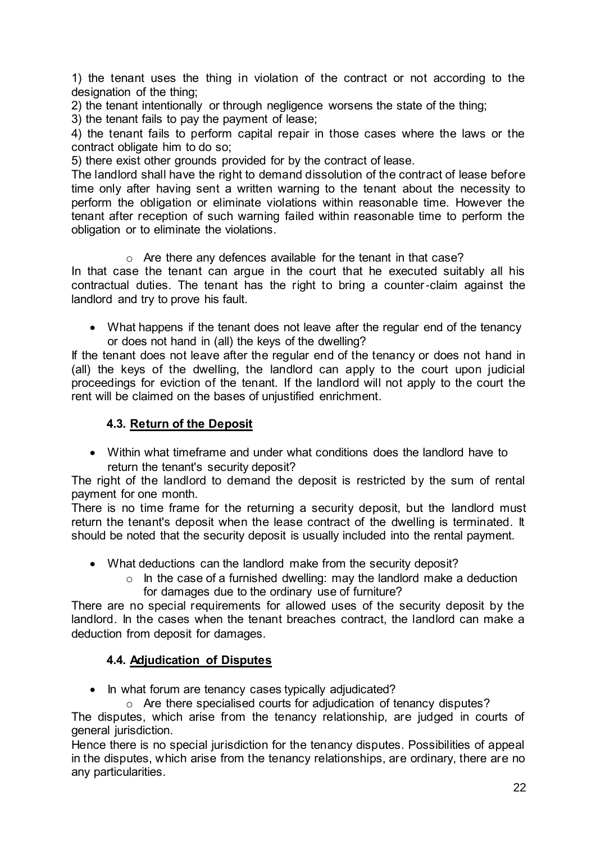1) the tenant uses the thing in violation of the contract or not according to the designation of the thing;

2) the tenant intentionally or through negligence worsens the state of the thing;

3) the tenant fails to pay the payment of lease;

4) the tenant fails to perform capital repair in those cases where the laws or the contract obligate him to do so;

5) there exist other grounds provided for by the contract of lease.

The landlord shall have the right to demand dissolution of the contract of lease before time only after having sent a written warning to the tenant about the necessity to perform the obligation or eliminate violations within reasonable time. However the tenant after reception of such warning failed within reasonable time to perform the obligation or to eliminate the violations.

#### o Are there any defences available for the tenant in that case?

In that case the tenant can argue in the court that he executed suitably all his contractual duties. The tenant has the right to bring a counter-claim against the landlord and try to prove his fault.

 What happens if the tenant does not leave after the regular end of the tenancy or does not hand in (all) the keys of the dwelling?

If the tenant does not leave after the regular end of the tenancy or does not hand in (all) the keys of the dwelling, the landlord can apply to the court upon judicial proceedings for eviction of the tenant. If the landlord will not apply to the court the rent will be claimed on the bases of unjustified enrichment.

# **4.3. Return of the Deposit**

 Within what timeframe and under what conditions does the landlord have to return the tenant's security deposit?

The right of the landlord to demand the deposit is restricted by the sum of rental payment for one month.

There is no time frame for the returning a security deposit, but the landlord must return the tenant's deposit when the lease contract of the dwelling is terminated. It should be noted that the security deposit is usually included into the rental payment.

- What deductions can the landlord make from the security deposit?
	- $\circ$  In the case of a furnished dwelling: may the landlord make a deduction for damages due to the ordinary use of furniture?

There are no special requirements for allowed uses of the security deposit by the landlord. In the cases when the tenant breaches contract, the landlord can make a deduction from deposit for damages.

# **4.4. Adjudication of Disputes**

• In what forum are tenancy cases typically adjudicated?

o Are there specialised courts for adjudication of tenancy disputes?

The disputes, which arise from the tenancy relationship, are judged in courts of general jurisdiction.

Hence there is no special jurisdiction for the tenancy disputes. Possibilities of appeal in the disputes, which arise from the tenancy relationships, are ordinary, there are no any particularities.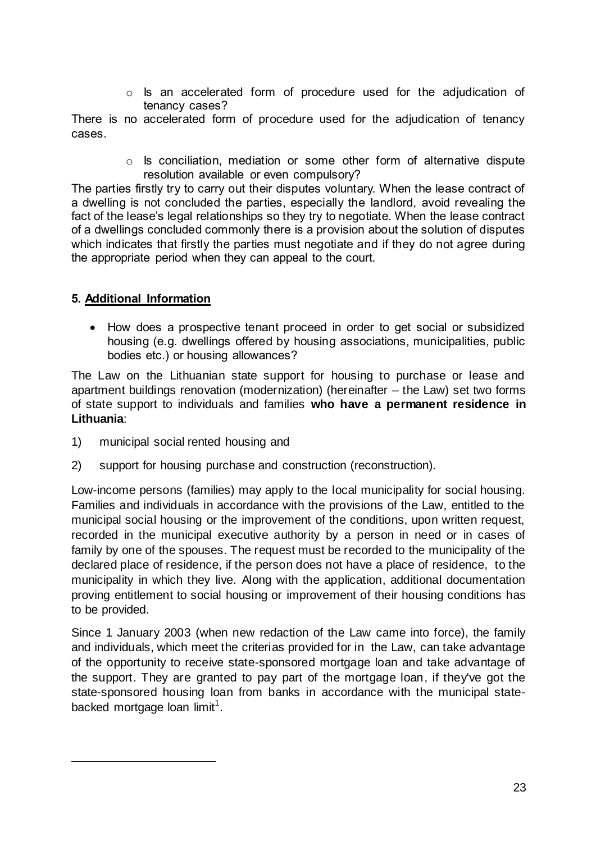o Is an accelerated form of procedure used for the adjudication of tenancy cases?

There is no accelerated form of procedure used for the adjudication of tenancy cases.

> o Is conciliation, mediation or some other form of alternative dispute resolution available or even compulsory?

The parties firstly try to carry out their disputes voluntary. When the lease contract of a dwelling is not concluded the parties, especially the landlord, avoid revealing the fact of the lease's legal relationships so they try to negotiate. When the lease contract of a dwellings concluded commonly there is a provision about the solution of disputes which indicates that firstly the parties must negotiate and if they do not agree during the appropriate period when they can appeal to the court.

# **5. Additional Information**

1

 How does a prospective tenant proceed in order to get social or subsidized housing (e.g. dwellings offered by housing associations, municipalities, public bodies etc.) or housing allowances?

The Law on the Lithuanian state support for housing to purchase or lease and apartment buildings renovation (modernization) (hereinafter – the Law) set two forms of state support to individuals and families **who have a permanent residence in Lithuania**:

- 1) municipal social rented housing and
- 2) support for housing purchase and construction (reconstruction).

Low-income persons (families) may apply to the local municipality for social housing. Families and individuals in accordance with the provisions of the Law, entitled to the municipal social housing or the improvement of the conditions, upon written request, recorded in the municipal executive authority by a person in need or in cases of family by one of the spouses. The request must be recorded to the municipality of the declared place of residence, if the person does not have a place of residence, to the municipality in which they live. Along with the application, additional documentation proving entitlement to social housing or improvement of their housing conditions has to be provided.

Since 1 January 2003 (when new redaction of the Law came into force), the family and individuals, which meet the criterias provided for in the Law, can take advantage of the opportunity to receive state-sponsored mortgage loan and take advantage of the support. They are granted to pay part of the mortgage loan, if they've got the state-sponsored housing loan from banks in accordance with the municipal statebacked mortgage loan limit<sup>1</sup>.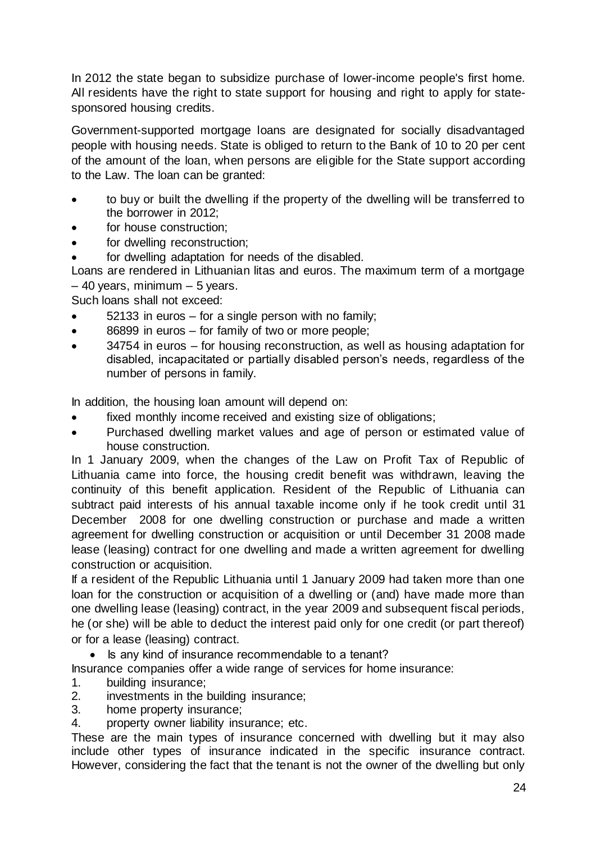In 2012 the state began to subsidize purchase of lower-income people's first home. All residents have the right to state support for housing and right to apply for statesponsored housing credits.

Government-supported mortgage loans are designated for socially disadvantaged people with housing needs. State is obliged to return to the Bank of 10 to 20 per cent of the amount of the loan, when persons are eligible for the State support according to the Law. The loan can be granted:

- to buy or built the dwelling if the property of the dwelling will be transferred to the borrower in 2012;
- for house construction;
- for dwelling reconstruction;
- for dwelling adaptation for needs of the disabled.

Loans are rendered in Lithuanian litas and euros. The maximum term of a mortgage – 40 years, minimum – 5 years.

Such loans shall not exceed:

- 52133 in euros for a single person with no family;
- 86899 in euros for family of two or more people;
- 34754 in euros for housing reconstruction, as well as housing adaptation for disabled, incapacitated or partially disabled person's needs, regardless of the number of persons in family.

In addition, the housing loan amount will depend on:

- fixed monthly income received and existing size of obligations;
- Purchased dwelling market values and age of person or estimated value of house construction.

In 1 January 2009, when the changes of the Law on Profit Tax of Republic of Lithuania came into force, the housing credit benefit was withdrawn, leaving the continuity of this benefit application. Resident of the Republic of Lithuania can subtract paid interests of his annual taxable income only if he took credit until 31 December 2008 for one dwelling construction or purchase and made a written agreement for dwelling construction or acquisition or until December 31 2008 made lease (leasing) contract for one dwelling and made a written agreement for dwelling construction or acquisition.

If a resident of the Republic Lithuania until 1 January 2009 had taken more than one loan for the construction or acquisition of a dwelling or (and) have made more than one dwelling lease (leasing) contract, in the year 2009 and subsequent fiscal periods, he (or she) will be able to deduct the interest paid only for one credit (or part thereof) or for a lease (leasing) contract.

• Is any kind of insurance recommendable to a tenant?

Insurance companies offer a wide range of services for home insurance:

- 1. building insurance;
- 2. investments in the building insurance;
- 3. home property insurance;
- 4. property owner liability insurance; etc.

These are the main types of insurance concerned with dwelling but it may also include other types of insurance indicated in the specific insurance contract. However, considering the fact that the tenant is not the owner of the dwelling but only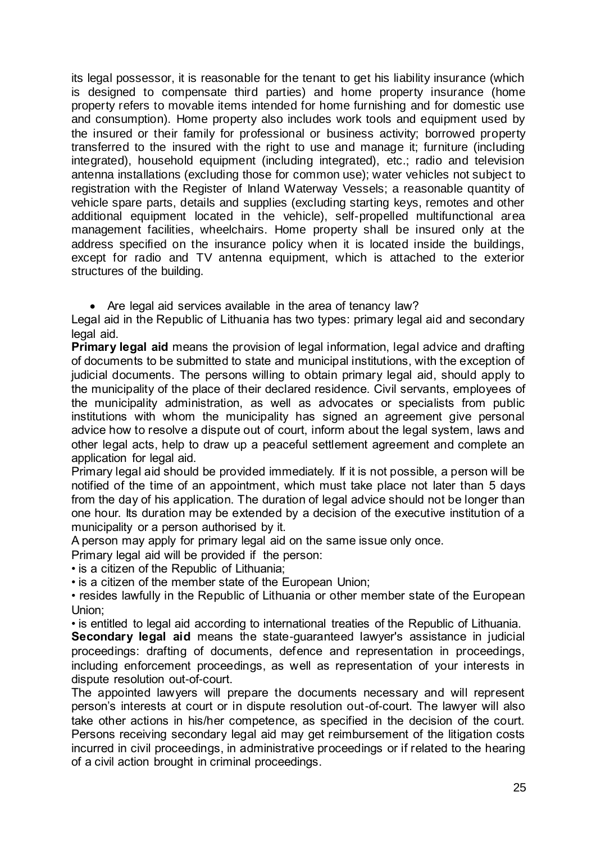its legal possessor, it is reasonable for the tenant to get his liability insurance (which is designed to compensate third parties) and home property insurance (home property refers to movable items intended for home furnishing and for domestic use and consumption). Home property also includes work tools and equipment used by the insured or their family for professional or business activity; borrowed property transferred to the insured with the right to use and manage it; furniture (including integrated), household equipment (including integrated), etc.; radio and television antenna installations (excluding those for common use); water vehicles not subject to registration with the Register of Inland Waterway Vessels; a reasonable quantity of vehicle spare parts, details and supplies (excluding starting keys, remotes and other additional equipment located in the vehicle), self-propelled multifunctional area management facilities, wheelchairs. Home property shall be insured only at the address specified on the insurance policy when it is located inside the buildings, except for radio and TV antenna equipment, which is attached to the exterior structures of the building.

• Are legal aid services available in the area of tenancy law?

Legal aid in the Republic of Lithuania has two types: primary legal aid and secondary legal aid.

**Primary legal aid** means the provision of legal information, legal advice and drafting of documents to be submitted to state and municipal institutions, with the exception of judicial documents. The persons willing to obtain primary legal aid, should apply to the municipality of the place of their declared residence. Civil servants, employees of the municipality administration, as well as advocates or specialists from public institutions with whom the municipality has signed an agreement give personal advice how to resolve a dispute out of court, inform about the legal system, laws and other legal acts, help to draw up a peaceful settlement agreement and complete an application for legal aid.

Primary legal aid should be provided immediately. If it is not possible, a person will be notified of the time of an appointment, which must take place not later than 5 days from the day of his application. The duration of legal advice should not be longer than one hour. Its duration may be extended by a decision of the executive institution of a municipality or a person authorised by it.

A person may apply for primary legal aid on the same issue only once.

Primary legal aid will be provided if the person:

• is a citizen of the Republic of Lithuania;

• is a citizen of the member state of the European Union;

• resides lawfully in the Republic of Lithuania or other member state of the European Union;

• is entitled to legal aid according to international treaties of the Republic of Lithuania.

**Secondary legal aid** means the state-guaranteed lawyer's assistance in judicial proceedings: drafting of documents, defence and representation in proceedings, including enforcement proceedings, as well as representation of your interests in dispute resolution out-of-court.

The appointed lawyers will prepare the documents necessary and will represent person's interests at court or in dispute resolution out-of-court. The lawyer will also take other actions in his/her competence, as specified in the decision of the court. Persons receiving secondary legal aid may get reimbursement of the litigation costs incurred in civil proceedings, in administrative proceedings or if related to the hearing of a civil action brought in criminal proceedings.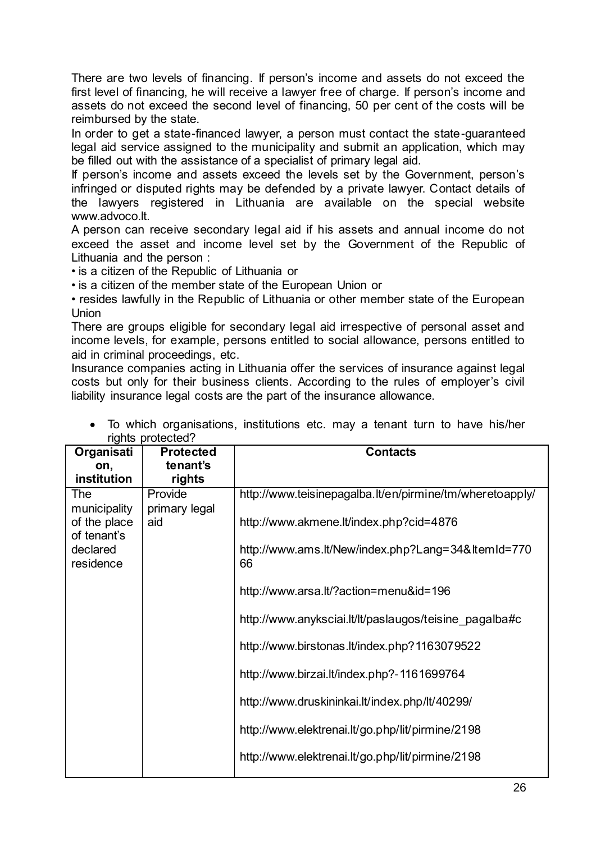There are two levels of financing. If person's income and assets do not exceed the first level of financing, he will receive a lawyer free of charge. If person's income and assets do not exceed the second level of financing, 50 per cent of the costs will be reimbursed by the state.

In order to get a state-financed lawyer, a person must contact the state-guaranteed legal aid service assigned to the municipality and submit an application, which may be filled out with the assistance of a specialist of primary legal aid.

If person's income and assets exceed the levels set by the Government, person's infringed or disputed rights may be defended by a private lawyer. Contact details of the lawyers registered in Lithuania are available on the special website www.advoco.lt.

A person can receive secondary legal aid if his assets and annual income do not exceed the asset and income level set by the Government of the Republic of Lithuania and the person :

• is a citizen of the Republic of Lithuania or

• is a citizen of the member state of the European Union or

• resides lawfully in the Republic of Lithuania or other member state of the European Union

There are groups eligible for secondary legal aid irrespective of personal asset and income levels, for example, persons entitled to social allowance, persons entitled to aid in criminal proceedings, etc.

Insurance companies acting in Lithuania offer the services of insurance against legal costs but only for their business clients. According to the rules of employer's civil liability insurance legal costs are the part of the insurance allowance.

| Organisati                           | <b>Protected</b>         | <b>Contacts</b>                                          |
|--------------------------------------|--------------------------|----------------------------------------------------------|
| on,                                  | tenant's                 |                                                          |
| institution                          | rights                   |                                                          |
| The<br>municipality                  | Provide<br>primary legal | http://www.teisinepagalba.lt/en/pirmine/tm/wheretoapply/ |
| of the place                         | aid                      | http://www.akmene.lt/index.php?cid=4876                  |
| of tenant's<br>declared<br>residence |                          | http://www.ams.lt/New/index.php?Lang=34&ltemId=770<br>66 |
|                                      |                          | http://www.arsa.lt/?action=menu&id=196                   |
|                                      |                          | http://www.anyksciai.lt/lt/paslaugos/teisine pagalba#c   |
|                                      |                          | http://www.birstonas.lt/index.php?1163079522             |
|                                      |                          | http://www.birzai.lt/index.php?-1161699764               |
|                                      |                          | http://www.druskininkai.lt/index.php/lt/40299/           |
|                                      |                          | http://www.elektrenai.lt/go.php/lit/pirmine/2198         |
|                                      |                          | http://www.elektrenai.lt/go.php/lit/pirmine/2198         |

 To which organisations, institutions etc. may a tenant turn to have his/her rights protected?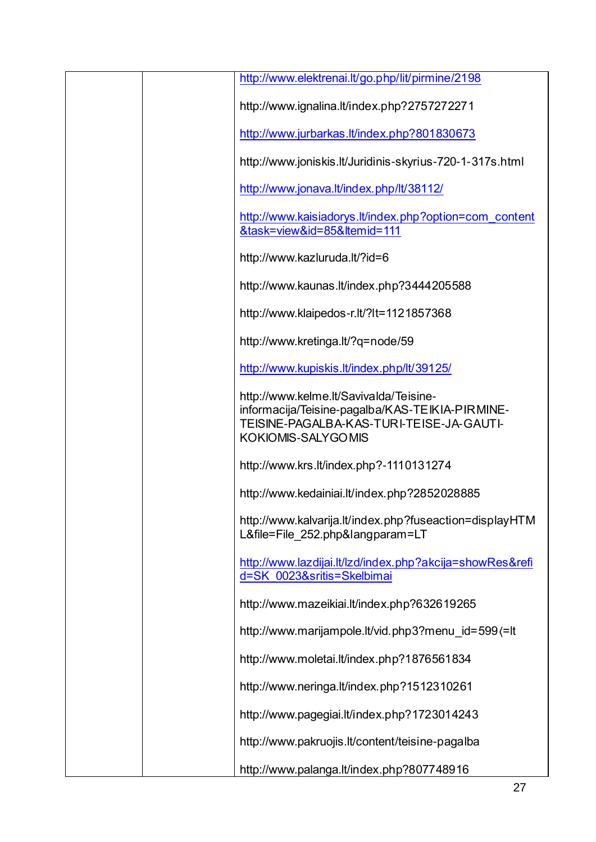| http://www.elektrenai.lt/go.php/lit/pirmine/2198                                                                                                                   |
|--------------------------------------------------------------------------------------------------------------------------------------------------------------------|
| http://www.ignalina.lt/index.php?2757272271                                                                                                                        |
| http://www.jurbarkas.lt/index.php?801830673                                                                                                                        |
| http://www.joniskis.lt/Juridinis-skyrius-720-1-317s.html                                                                                                           |
| http://www.jonava.lt/index.php/lt/38112/                                                                                                                           |
| http://www.kaisiadorys.lt/index.php?option=com_content<br>&task=view&id=85&ltemid=111                                                                              |
| http://www.kazluruda.lt/?id=6                                                                                                                                      |
| http://www.kaunas.lt/index.php?3444205588                                                                                                                          |
| http://www.klaipedos-r.lt/?lt=1121857368                                                                                                                           |
| http://www.kretinga.lt/?q=node/59                                                                                                                                  |
| http://www.kupiskis.lt/index.php/lt/39125/                                                                                                                         |
| http://www.kelme.lt/Savivalda/Teisine-<br>informacija/Teisine-pagalba/KAS-TEIKIA-PIRMINE-<br>TEISINE-PAGALBA-KAS-TURI-TEISE-JA-GAUTI-<br><b>KOKIOMIS-SALYGOMIS</b> |
| http://www.krs.lt/index.php?-1110131274                                                                                                                            |
| http://www.kedainiai.lt/index.php?2852028885                                                                                                                       |
| http://www.kalvarija.lt/index.php?fuseaction=displayHTM<br>L&file=File 252.php&langparam=LT                                                                        |
| http://www.lazdijai.lt/lzd/index.php?akcija=showRes&refi<br>d=SK 0023&sritis=Skelbimai                                                                             |
| http://www.mazeikiai.lt/index.php?632619265                                                                                                                        |
| http://www.marijampole.lt/vid.php3?menu id=599(=lt                                                                                                                 |
| http://www.moletai.lt/index.php?1876561834                                                                                                                         |
| http://www.neringa.lt/index.php?1512310261                                                                                                                         |
| http://www.pagegiai.lt/index.php?1723014243                                                                                                                        |
| http://www.pakruojis.lt/content/teisine-pagalba                                                                                                                    |
| http://www.palanga.lt/index.php?807748916                                                                                                                          |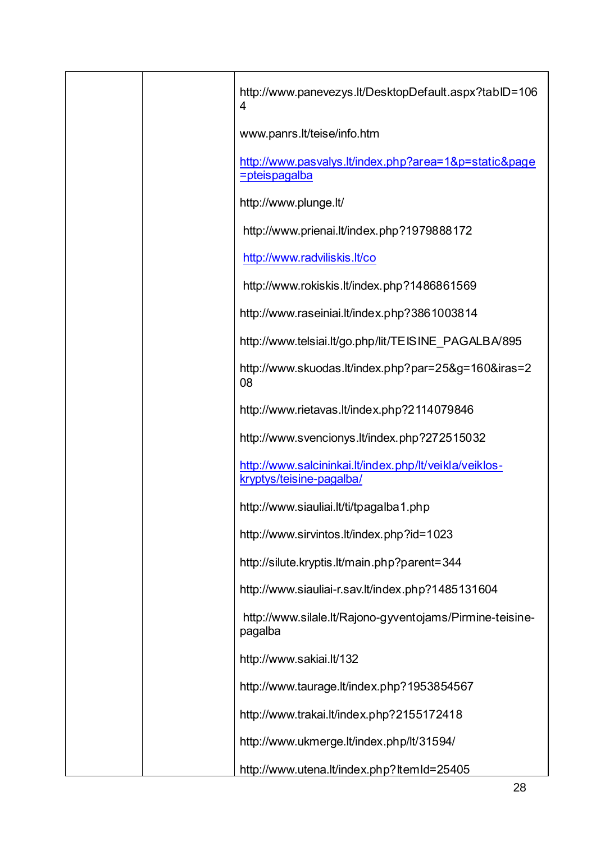|  | http://www.panevezys.lt/DesktopDefault.aspx?tablD=106<br>4                                  |
|--|---------------------------------------------------------------------------------------------|
|  | www.panrs.lt/teise/info.htm                                                                 |
|  | http://www.pasvalys.lt/index.php?area=1&p=static&page<br><i><u><b>=pteispagalba</b></u></i> |
|  | http://www.plunge.lt/                                                                       |
|  | http://www.prienai.lt/index.php?1979888172                                                  |
|  | http://www.radviliskis.lt/co                                                                |
|  | http://www.rokiskis.lt/index.php?1486861569                                                 |
|  | http://www.raseiniai.lt/index.php?3861003814                                                |
|  | http://www.telsiai.lt/go.php/lit/TEISINE PAGALBA/895                                        |
|  | http://www.skuodas.lt/index.php?par=25&g=160&iras=2<br>08                                   |
|  | http://www.rietavas.lt/index.php?2114079846                                                 |
|  | http://www.svencionys.lt/index.php?272515032                                                |
|  | http://www.salcininkai.lt/index.php/lt/veikla/veiklos-<br>kryptys/teisine-pagalba/          |
|  | http://www.siauliai.lt/ti/tpagalba1.php                                                     |
|  | http://www.sirvintos.lt/index.php?id=1023                                                   |
|  | http://silute.kryptis.lt/main.php?parent=344                                                |
|  | http://www.siauliai-r.sav.lt/index.php?1485131604                                           |
|  | http://www.silale.lt/Rajono-gyventojams/Pirmine-teisine-<br>pagalba                         |
|  | http://www.sakiai.lt/132                                                                    |
|  | http://www.taurage.lt/index.php?1953854567                                                  |
|  | http://www.trakai.lt/index.php?2155172418                                                   |
|  | http://www.ukmerge.lt/index.php/lt/31594/                                                   |
|  | http://www.utena.lt/index.php?ltemId=25405                                                  |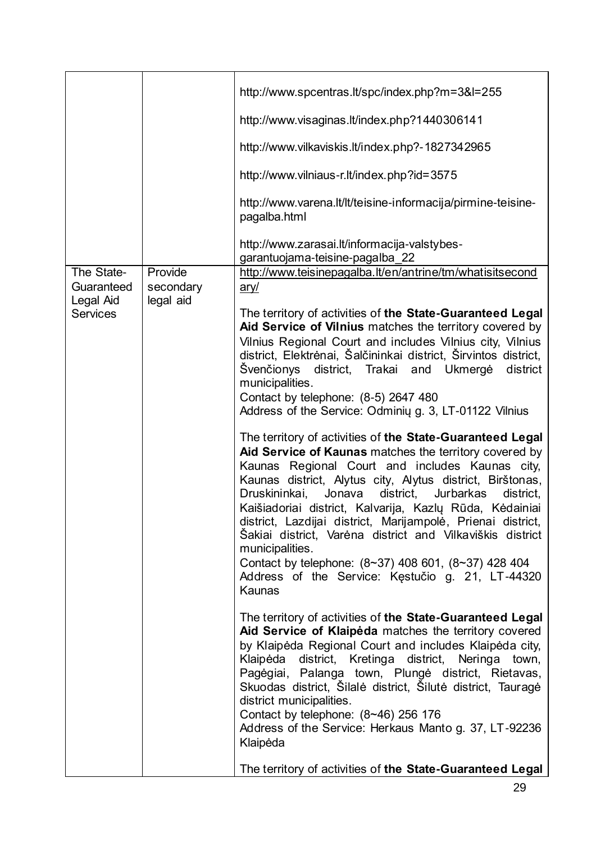|                              |                      | http://www.spcentras.lt/spc/index.php?m=3&l=255                                                                                                                                                                                                                                                                                                                                                                                                                                                                                                                                                                                           |
|------------------------------|----------------------|-------------------------------------------------------------------------------------------------------------------------------------------------------------------------------------------------------------------------------------------------------------------------------------------------------------------------------------------------------------------------------------------------------------------------------------------------------------------------------------------------------------------------------------------------------------------------------------------------------------------------------------------|
|                              |                      | http://www.visaginas.lt/index.php?1440306141                                                                                                                                                                                                                                                                                                                                                                                                                                                                                                                                                                                              |
|                              |                      | http://www.vilkaviskis.lt/index.php?-1827342965                                                                                                                                                                                                                                                                                                                                                                                                                                                                                                                                                                                           |
|                              |                      | http://www.vilniaus-r.lt/index.php?id=3575                                                                                                                                                                                                                                                                                                                                                                                                                                                                                                                                                                                                |
|                              |                      | http://www.varena.lt/lt/teisine-informacija/pirmine-teisine-<br>pagalba.html                                                                                                                                                                                                                                                                                                                                                                                                                                                                                                                                                              |
|                              |                      | http://www.zarasai.lt/informacija-valstybes-<br>garantuojama-teisine-pagalba 22                                                                                                                                                                                                                                                                                                                                                                                                                                                                                                                                                           |
| The State-<br>Guaranteed     | Provide<br>secondary | http://www.teisinepagalba.lt/en/antrine/tm/whatisitsecond<br>ary/                                                                                                                                                                                                                                                                                                                                                                                                                                                                                                                                                                         |
| Legal Aid<br><b>Services</b> | legal aid            | The territory of activities of the State-Guaranteed Legal<br>Aid Service of Vilnius matches the territory covered by<br>Vilnius Regional Court and includes Vilnius city, Vilnius<br>district, Elektrėnai, Šalčininkai district, Širvintos district,<br>Švenčionys district, Trakai and Ukmergė<br>district<br>municipalities.<br>Contact by telephone: (8-5) 2647 480<br>Address of the Service: Odminių g. 3, LT-01122 Vilnius                                                                                                                                                                                                          |
|                              |                      | The territory of activities of the State-Guaranteed Legal<br>Aid Service of Kaunas matches the territory covered by<br>Kaunas Regional Court and includes Kaunas city,<br>Kaunas district, Alytus city, Alytus district, Birštonas,<br>Jonava<br>district,<br>Druskininkai,<br>Jurbarkas<br>district,<br>Kaišiadoriai district, Kalvarija, Kazlų Rūda, Kėdainiai<br>district, Lazdijai district, Marijampolė, Prienai district,<br>Šakiai district, Varėna district and Vilkaviškis district<br>municipalities.<br>Contact by telephone: $(8~37)$ 408 601, $(8~37)$ 428 404<br>Address of the Service: Kestučio g. 21, LT-44320<br>Kaunas |
|                              |                      | The territory of activities of the State-Guaranteed Legal<br>Aid Service of Klaipėda matches the territory covered<br>by Klaipėda Regional Court and includes Klaipėda city,<br>Klaipėda district, Kretinga district, Neringa town,<br>Pagėgiai, Palanga town, Plungė district, Rietavas,<br>Skuodas district, Šilalė district, Šilutė district, Tauragė<br>district municipalities.<br>Contact by telephone: $(8~46)$ 256 176<br>Address of the Service: Herkaus Manto g. 37, LT-92236<br>Klaipėda                                                                                                                                       |
|                              |                      | The territory of activities of the State-Guaranteed Legal                                                                                                                                                                                                                                                                                                                                                                                                                                                                                                                                                                                 |